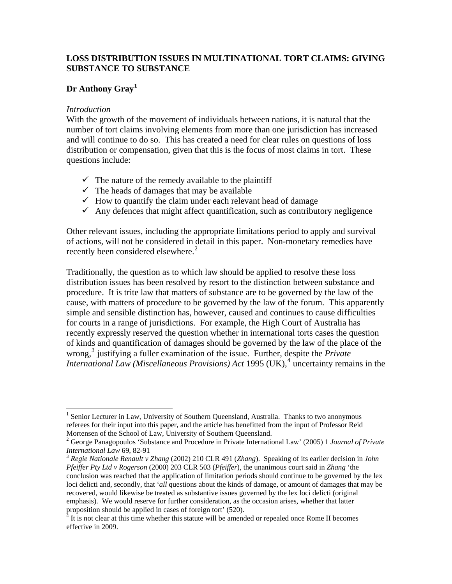# **LOSS DISTRIBUTION ISSUES IN MULTINATIONAL TORT CLAIMS: GIVING SUBSTANCE TO SUBSTANCE**

# **Dr Anthony Gray[1](#page-0-0)**

## *Introduction*

 $\overline{a}$ 

With the growth of the movement of individuals between nations, it is natural that the number of tort claims involving elements from more than one jurisdiction has increased and will continue to do so. This has created a need for clear rules on questions of loss distribution or compensation, given that this is the focus of most claims in tort. These questions include:

- $\checkmark$  The nature of the remedy available to the plaintiff
- $\checkmark$  The heads of damages that may be available
- $\checkmark$  How to quantify the claim under each relevant head of damage
- $\checkmark$  Any defences that might affect quantification, such as contributory negligence

Other relevant issues, including the appropriate limitations period to apply and survival of actions, will not be considered in detail in this paper. Non-monetary remedies have recently been considered elsewhere.<sup>[2](#page-0-1)</sup>

Traditionally, the question as to which law should be applied to resolve these loss distribution issues has been resolved by resort to the distinction between substance and procedure. It is trite law that matters of substance are to be governed by the law of the cause, with matters of procedure to be governed by the law of the forum. This apparently simple and sensible distinction has, however, caused and continues to cause difficulties for courts in a range of jurisdictions. For example, the High Court of Australia has recently expressly reserved the question whether in international torts cases the question of kinds and quantification of damages should be governed by the law of the place of the wrong*,* [3](#page-0-2) justifying a fuller examination of the issue. Further, despite the *Private International Law (Miscellaneous Provisions) Act* 1995 (UK),<sup>[4](#page-0-3)</sup> uncertainty remains in the

<span id="page-0-0"></span><sup>&</sup>lt;sup>1</sup> Senior Lecturer in Law, University of Southern Queensland, Australia. Thanks to two anonymous referees for their input into this paper, and the article has benefitted from the input of Professor Reid Mortensen of the School of Law, University of Southern Queensland.

<span id="page-0-1"></span><sup>2</sup> George Panagopoulos 'Substance and Procedure in Private International Law' (2005) 1 *Journal of Private International Law* 69, 82-91<br><sup>3</sup> *Regie Nationale Renault v Zhang* (2002) 210 CLR 491 (*Zhang*). Speaking of its earlier decision in *John* 

<span id="page-0-2"></span>*Pfeiffer Pty Ltd v Rogerson* (2000) 203 CLR 503 (*Pfeiffer*), the unanimous court said in *Zhang* 'the conclusion was reached that the application of limitation periods should continue to be governed by the lex loci delicti and, secondly, that '*all* questions about the kinds of damage, or amount of damages that may be recovered, would likewise be treated as substantive issues governed by the lex loci delicti (original emphasis). We would reserve for further consideration, as the occasion arises, whether that latter proposition should be applied in cases of foreign tort' (520). 4

<span id="page-0-3"></span> $\frac{1}{4}$  It is not clear at this time whether this statute will be amended or repealed once Rome II becomes effective in 2009.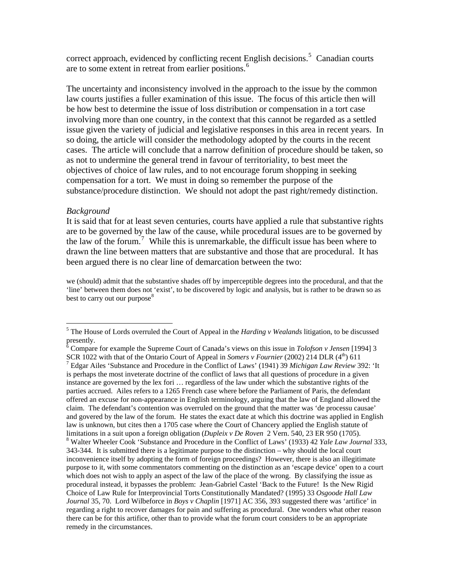correct approach, evidenced by conflicting recent English decisions.<sup>[5](#page-1-0)</sup> Canadian courts are to some extent in retreat from earlier positions.<sup>[6](#page-1-1)</sup>

The uncertainty and inconsistency involved in the approach to the issue by the common law courts justifies a fuller examination of this issue. The focus of this article then will be how best to determine the issue of loss distribution or compensation in a tort case involving more than one country, in the context that this cannot be regarded as a settled issue given the variety of judicial and legislative responses in this area in recent years. In so doing, the article will consider the methodology adopted by the courts in the recent cases. The article will conclude that a narrow definition of procedure should be taken, so as not to undermine the general trend in favour of territoriality, to best meet the objectives of choice of law rules, and to not encourage forum shopping in seeking compensation for a tort. We must in doing so remember the purpose of the substance/procedure distinction. We should not adopt the past right/remedy distinction.

### *Background*

 $\overline{a}$ 

It is said that for at least seven centuries, courts have applied a rule that substantive rights are to be governed by the law of the cause, while procedural issues are to be governed by the law of the forum.<sup>[7](#page-1-2)</sup> While this is unremarkable, the difficult issue has been where to drawn the line between matters that are substantive and those that are procedural. It has been argued there is no clear line of demarcation between the two:

we (should) admit that the substantive shades off by imperceptible degrees into the procedural, and that the 'line' between them does not 'exist', to be discovered by logic and analysis, but is rather to be drawn so as best to carry out our purpose<sup>[8](#page-1-3)</sup>

<span id="page-1-0"></span><sup>&</sup>lt;sup>5</sup> The House of Lords overruled the Court of Appeal in the *Harding v Wealands* litigation, to be discussed

<span id="page-1-1"></span>presently. 6 Compare for example the Supreme Court of Canada's views on this issue in *Tolofson v Jensen* [1994] 3 SCR 1022 with that of the Ontario Court of Appeal in *Somers v Fournier* (2002) 214 DLR  $(4<sup>th</sup>)$  611

<span id="page-1-3"></span><span id="page-1-2"></span>Edgar Ailes 'Substance and Procedure in the Conflict of Laws' (1941) 39 *Michigan Law Review* 392: 'It is perhaps the most inveterate doctrine of the conflict of laws that all questions of procedure in a given instance are governed by the lex fori … regardless of the law under which the substantive rights of the parties accrued. Ailes refers to a 1265 French case where before the Parliament of Paris, the defendant offered an excuse for non-appearance in English terminology, arguing that the law of England allowed the claim. The defendant's contention was overruled on the ground that the matter was 'de processu causae' and govered by the law of the forum. He states the exact date at which this doctrine was applied in English law is unknown, but cites then a 1705 case where the Court of Chancery applied the English statute of limitations in a suit upon a foreign obligation (*Dupleix v De Roven* 2 Vern. 540, 23 ER 950 (1705). 8 Walter Wheeler Cook 'Substance and Procedure in the Conflict of Laws' (1933) 42 *Yale Law Journal* 333, 343-344. It is submitted there is a legitimate purpose to the distinction – why should the local court inconvenience itself by adopting the form of foreign proceedings? However, there is also an illegitimate purpose to it, with some commentators commenting on the distinction as an 'escape device' open to a court which does not wish to apply an aspect of the law of the place of the wrong. By classifying the issue as procedural instead, it bypasses the problem: Jean-Gabriel Castel 'Back to the Future! Is the New Rigid Choice of Law Rule for Interprovincial Torts Constitutionally Mandated? (1995) 33 *Osgoode Hall Law Journal* 35, 70. Lord Wilbeforce in *Boys v Chaplin* [1971] AC 356, 393 suggested there was 'artifice' in regarding a right to recover damages for pain and suffering as procedural. One wonders what other reason there can be for this artifice, other than to provide what the forum court considers to be an appropriate remedy in the circumstances.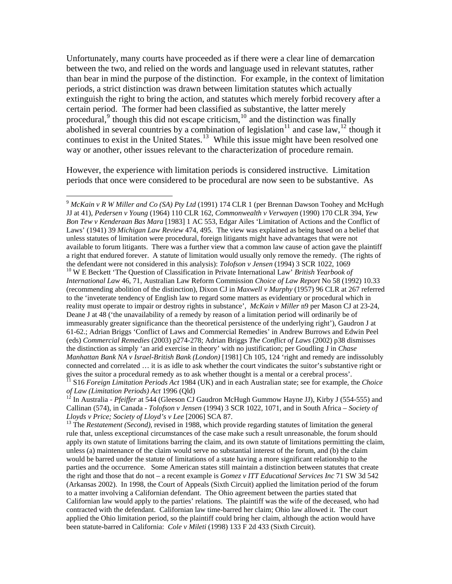Unfortunately, many courts have proceeded as if there were a clear line of demarcation between the two, and relied on the words and language used in relevant statutes, rather than bear in mind the purpose of the distinction. For example, in the context of limitation periods, a strict distinction was drawn between limitation statutes which actually extinguish the right to bring the action, and statutes which merely forbid recovery after a certain period. The former had been classified as substantive, the latter merely procedural, $9$  though this did not escape criticism,  $10$  and the distinction was finally abolished in several countries by a combination of legislation<sup>[11](#page-2-2)</sup> and case law,<sup>[12](#page-2-3)</sup> though it continues to exist in the United States.<sup>[13](#page-2-4)</sup> While this issue might have been resolved one way or another, other issues relevant to the characterization of procedure remain.

However, the experience with limitation periods is considered instructive. Limitation periods that once were considered to be procedural are now seen to be substantive. As

<span id="page-2-0"></span><sup>&</sup>lt;sup>9</sup> McKain v R W Miller and Co (SA) Pty Ltd (1991) 174 CLR 1 (per Brennan Dawson Toohey and McHugh JJ at 41), *Pedersen v Young* (1964) 110 CLR 162, *Commonwealth v Verwayen* (1990) 170 CLR 394, *Yew Bon Tew v Kenderaan Bas Mara* [1983] 1 AC 553, Edgar Ailes 'Limitation of Actions and the Conflict of Laws' (1941) 39 *Michigan Law Review* 474, 495. The view was explained as being based on a belief that unless statutes of limitation were procedural, foreign litigants might have advantages that were not available to forum litigants. There was a further view that a common law cause of action gave the plaintiff a right that endured forever. A statute of limitation would usually only remove the remedy. (The rights of the defendant were not considered in this analysis): *Tolofson v Jensen* (1994) 3 SCR 1022, 1069<sup>10</sup> W E Beckett 'The Question of Classification in Private International Law' *British Yearbook of International Law* 46, 71, Australian Law Reform Commission *Choice of Law Report* No 58 (1992) 10.33 (recommending abolition of the distinction), Dixon CJ in *Maxwell v Murphy* (1957) 96 CLR at 267 referred to the 'inveterate tendency of English law to regard some matters as evidentiary or procedural which in reality must operate to impair or destroy rights in substance', *McKain v Miller* n9 per Mason CJ at 23-24, Deane J at 48 ('the unavailability of a remedy by reason of a limitation period will ordinarily be of immeasurably greater significance than the theoretical persistence of the underlying right'), Gaudron J at

<span id="page-2-1"></span><sup>61-62.;</sup> Adrian Briggs 'Conflict of Laws and Commercial Remedies' in Andrew Burrows and Edwin Peel (eds) *Commercial Remedies* (2003) p274-278; Adrian Briggs *The Conflict of Laws* (2002) p38 dismisses the distinction as simply 'an arid exercise in theory' with no justification; per Goudling J in *Chase Manhattan Bank NA v Israel-British Bank (London)* [1981] Ch 105, 124 'right and remedy are indissolubly connected and correlated … it is as idle to ask whether the court vindicates the suitor's substantive right or

<span id="page-2-2"></span>gives the suitor a procedural remedy as to ask whether thought is a mental or a cerebral process'.<br><sup>11</sup> S16 *Foreign Limitation Periods Act* 1984 (UK) and in each Australian state; see for example, the *Choice* of *Law* (

<span id="page-2-3"></span>In Australia - *Pfeiffer* at 544 (Gleeson CJ Gaudron McHugh Gummow Hayne JJ), Kirby J (554-555) and Callinan (574), in Canada - *Tolofson v Jensen* (1994) 3 SCR 1022, 1071, and in South Africa – *Society of Lloyds v Price; Society of Lloyd's v Lee* [2006] SCA 87.<br><sup>13</sup> The *Restatement (Second)*, revised in 1988, which provide regarding statutes of limitation the general

<span id="page-2-4"></span>rule that, unless exceptional circumstances of the case make such a result unreasonable, the forum should apply its own statute of limitations barring the claim, and its own statute of limitations permitting the claim, unless (a) maintenance of the claim would serve no substantial interest of the forum, and (b) the claim would be barred under the statute of limitations of a state having a more significant relationship to the parties and the occurrence. Some American states still maintain a distinction between statutes that create the right and those that do not – a recent example is *Gomez v ITT Educational Services Inc* 71 SW 3d 542 (Arkansas 2002). In 1998, the Court of Appeals (Sixth Circuit) applied the limitation period of the forum to a matter involving a Californian defendant. The Ohio agreement between the parties stated that Californian law would apply to the parties' relations. The plaintiff was the wife of the deceased, who had contracted with the defendant. Californian law time-barred her claim; Ohio law allowed it. The court applied the Ohio limitation period, so the plaintiff could bring her claim, although the action would have been statute-barred in California: *Cole v Mileti* (1998) 133 F 2d 433 (Sixth Circuit).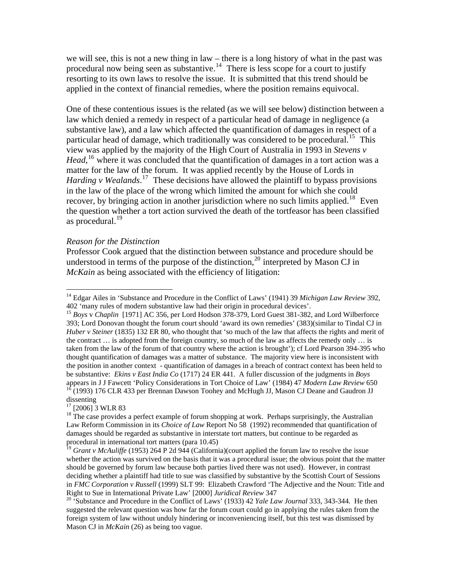we will see, this is not a new thing in law – there is a long history of what in the past was procedural now being seen as substantive.<sup>[14](#page-3-0)</sup> There is less scope for a court to justify resorting to its own laws to resolve the issue. It is submitted that this trend should be applied in the context of financial remedies, where the position remains equivocal.

One of these contentious issues is the related (as we will see below) distinction between a law which denied a remedy in respect of a particular head of damage in negligence (a substantive law), and a law which affected the quantification of damages in respect of a particular head of damage, which traditionally was considered to be procedural.<sup>[15](#page-3-1)</sup> This view was applied by the majority of the High Court of Australia in 1993 in *Stevens v*  Head,<sup>[16](#page-3-2)</sup> where it was concluded that the quantification of damages in a tort action was a matter for the law of the forum. It was applied recently by the House of Lords in Harding v Wealands.<sup>[17](#page-3-3)</sup> These decisions have allowed the plaintiff to bypass provisions in the law of the place of the wrong which limited the amount for which she could recover, by bringing action in another jurisdiction where no such limits applied.<sup>[18](#page-3-4)</sup> Even the question whether a tort action survived the death of the tortfeasor has been classified as procedural.<sup>[19](#page-3-5)</sup>

#### *Reason for the Distinction*

Professor Cook argued that the distinction between substance and procedure should be understood in terms of the purpose of the distinction,<sup>[20](#page-3-6)</sup> interpreted by Mason CJ in *McKain* as being associated with the efficiency of litigation:

<span id="page-3-2"></span><sup>17</sup> [2006] 3 WLR 83

<span id="page-3-0"></span><sup>14</sup> Edgar Ailes in 'Substance and Procedure in the Conflict of Laws' (1941) 39 *Michigan Law Review* 392, 402 'many rules of modern substantive law had their origin in procedural devices'.

<span id="page-3-1"></span><sup>&</sup>lt;sup>15</sup> Boys v Chaplin [1971] AC 356, per Lord Hodson 378-379, Lord Guest 381-382, and Lord Wilberforce 393; Lord Donovan thought the forum court should 'award its own remedies' (383)(similar to Tindal CJ in *Huber v Steiner* (1835) 132 ER 80, who thought that 'so much of the law that affects the rights and merit of the contract … is adopted from the foreign country, so much of the law as affects the remedy only … is taken from the law of the forum of that country where the action is brought'); cf Lord Pearson 394-395 who thought quantification of damages was a matter of substance. The majority view here is inconsistent with the position in another context - quantification of damages in a breach of contract context has been held to be substantive: *Ekins v East India Co* (1717) 24 ER 441. A fuller discussion of the judgments in *Boys* appears in J J Fawcett 'Policy Considerations in Tort Choice of Law' (1984) 47 *Modern Law Review* 650<br><sup>16</sup> (1993) 176 CLR 433 per Brennan Dawson Toohey and McHugh JJ, Mason CJ Deane and Gaudron JJ dissenting

<span id="page-3-4"></span><span id="page-3-3"></span><sup>&</sup>lt;sup>18</sup> The case provides a perfect example of forum shopping at work. Perhaps surprisingly, the Australian Law Reform Commission in its *Choice of Law* Report No 58 (1992) recommended that quantification of damages should be regarded as substantive in interstate tort matters, but continue to be regarded as procedural in international tort matters (para 10.45)

<span id="page-3-5"></span><sup>&</sup>lt;sup>19</sup> *Grant v McAuliffe* (1953) 264 P 2d 944 (California)(court applied the forum law to resolve the issue whether the action was survived on the basis that it was a procedural issue; the obvious point that the matter should be governed by forum law because both parties lived there was not used). However, in contrast deciding whether a plaintiff had title to sue was classified by substantive by the Scottish Court of Sessions in *FMC Corporation v Russell* (1999) SLT 99: Elizabeth Crawford 'The Adjective and the Noun: Title and Right to Sue in International Private Law' [2000] *Juridical Review* 347<br><sup>20</sup> 'Substance and Procedure in the Conflict of Laws' (1933) 42 *Yale Law Journal* 333, 343-344. He then

<span id="page-3-6"></span>suggested the relevant question was how far the forum court could go in applying the rules taken from the foreign system of law without unduly hindering or inconveniencing itself, but this test was dismissed by Mason CJ in *McKain* (26) as being too vague.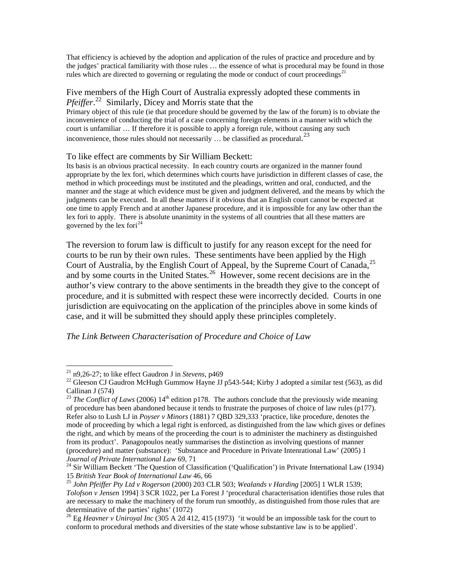That efficiency is achieved by the adoption and application of the rules of practice and procedure and by the judges' practical familiarity with those rules … the essence of what is procedural may be found in those rules which are directed to governing or regulating the mode or conduct of court proceedings<sup>[21](#page-4-0)</sup>

## Five members of the High Court of Australia expressly adopted these comments in Pfeiffer.<sup>[22](#page-4-1)</sup> Similarly, Dicey and Morris state that the

Primary object of this rule (ie that procedure should be governed by the law of the forum) is to obviate the inconvenience of conducting the trial of a case concerning foreign elements in a manner with which the court is unfamiliar … If therefore it is possible to apply a foreign rule, without causing any such inconvenience, those rules should not necessarily ... be classified as procedural.<sup>[23](#page-4-2)</sup>

### To like effect are comments by Sir William Beckett:

Its basis is an obvious practical necessity. In each country courts are organized in the manner found appropriate by the lex fori, which determines which courts have jurisdiction in different classes of case, the method in which proceedings must be instituted and the pleadings, written and oral, conducted, and the manner and the stage at which evidence must be given and judgment delivered, and the means by which the judgments can be executed. In all these matters if it obvious that an English court cannot be expected at one time to apply French and at another Japanese procedure, and it is impossible for any law other than the lex fori to apply. There is absolute unanimity in the systems of all countries that all these matters are governed by the lex for $i^{24}$  $i^{24}$  $i^{24}$ 

The reversion to forum law is difficult to justify for any reason except for the need for courts to be run by their own rules. These sentiments have been applied by the High Court of Australia, by the English Court of Appeal, by the Supreme Court of Canada,<sup>[25](#page-4-4)</sup> and by some courts in the United States.<sup>[26](#page-4-5)</sup> However, some recent decisions are in the author's view contrary to the above sentiments in the breadth they give to the concept of procedure, and it is submitted with respect these were incorrectly decided. Courts in one jurisdiction are equivocating on the application of the principles above in some kinds of case, and it will be submitted they should apply these principles completely.

## *The Link Between Characterisation of Procedure and Choice of Law*

<span id="page-4-0"></span> $^{21}$  n9.26-27; to like effect Gaudron J in Stevens, p469

<span id="page-4-1"></span><sup>&</sup>lt;sup>22</sup> Gleeson CJ Gaudron McHugh Gummow Hayne JJ p543-544; Kirby J adopted a similar test (563), as did Callinan J (574)

<span id="page-4-2"></span><sup>&</sup>lt;sup>23</sup> *The Conflict of Laws* (2006) 14<sup>th</sup> edition p178. The authors conclude that the previously wide meaning of procedure has been abandoned because it tends to frustrate the purposes of choice of law rules (p177). Refer also to Lush LJ in *Poyser v Minors* (1881) 7 QBD 329,333 'practice, like procedure, denotes the mode of proceeding by which a legal right is enforced, as distinguished from the law which gives or defines the right, and which by means of the proceeding the court is to administer the machinery as distinguished from its product'. Panagopoulos neatly summarises the distinction as involving questions of manner (procedure) and matter (substance): 'Substance and Procedure in Private Intenrational Law' (2005) 1

<span id="page-4-3"></span>*Journal of Private International Law* 69, 71<br><sup>24</sup> Sir William Beckett 'The Question of Classification ('Qualification') in Private International Law (1934)<br>15 *British Year Book of International Law* 46, 66

<span id="page-4-4"></span><sup>&</sup>lt;sup>25</sup> John Pfeiffer Pty Ltd v Rogerson (2000) 203 CLR 503; Wealands v Harding [2005] 1 WLR 1539; *Tolofson v Jensen* 1994] 3 SCR 1022, per La Forest J 'procedural characterisation identifies those rules that are necessary to make the machinery of the forum run smoothly, as distinguished from those rules that are determinative of the parties' rights' (1072)

<span id="page-4-5"></span><sup>&</sup>lt;sup>26</sup> Eg *Heavner v Uniroyal Inc* (305 A 2d 412, 415 (1973) 'it would be an impossible task for the court to conform to procedural methods and diversities of the state whose substantive law is to be applied'.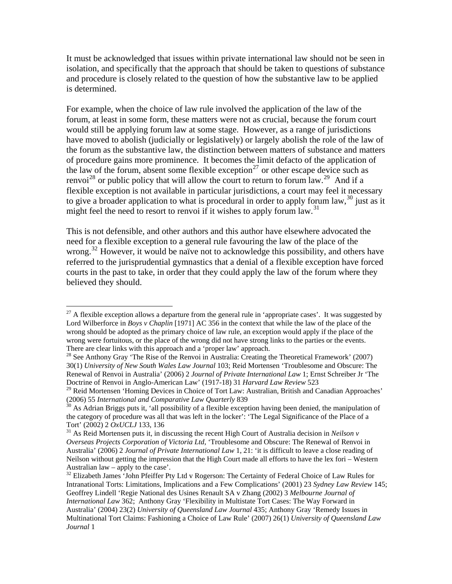It must be acknowledged that issues within private international law should not be seen in isolation, and specifically that the approach that should be taken to questions of substance and procedure is closely related to the question of how the substantive law to be applied is determined.

For example, when the choice of law rule involved the application of the law of the forum, at least in some form, these matters were not as crucial, because the forum court would still be applying forum law at some stage. However, as a range of jurisdictions have moved to abolish (judicially or legislatively) or largely abolish the role of the law of the forum as the substantive law, the distinction between matters of substance and matters of procedure gains more prominence. It becomes the limit defacto of the application of the law of the forum, absent some flexible exception<sup>[27](#page-5-0)</sup> or other escape device such as renvoi<sup>[28](#page-5-1)</sup> or public policy that will allow the court to return to forum law.<sup>[29](#page-5-2)</sup> And if a flexible exception is not available in particular jurisdictions, a court may feel it necessary to give a broader application to what is procedural in order to apply forum law,  $30$  just as it might feel the need to resort to renvoi if it wishes to apply forum law.<sup>[31](#page-5-4)</sup>

This is not defensible, and other authors and this author have elsewhere advocated the need for a flexible exception to a general rule favouring the law of the place of the wrong.<sup>[32](#page-5-5)</sup> However, it would be naïve not to acknowledge this possibility, and others have referred to the jurisprudential gymnastics that a denial of a flexible exception have forced courts in the past to take, in order that they could apply the law of the forum where they believed they should.

<span id="page-5-0"></span> $^{27}$  A flexible exception allows a departure from the general rule in 'appropriate cases'. It was suggested by Lord Wilberforce in *Boys v Chaplin* [1971] AC 356 in the context that while the law of the place of the wrong should be adopted as the primary choice of law rule, an exception would apply if the place of the wrong were fortuitous, or the place of the wrong did not have strong links to the parties or the events.

<span id="page-5-1"></span>There are clear links with this approach and a 'proper law' approach.<br><sup>28</sup> See Anthony Gray 'The Rise of the Renvoi in Australia: Creating the Theoretical Framework' (2007) 30(1) *University of New South Wales Law Journal* 103; Reid Mortensen 'Troublesome and Obscure: The Renewal of Renvoi in Australia' (2006) 2 *Journal of Private International Law* 1; Ernst Schreiber Jr 'The Doctrine of Renvoi in Anglo-American Law' (1917-18) 31 *Harvard Law Review* 523

<span id="page-5-2"></span><sup>&</sup>lt;sup>29</sup> Reid Mortensen 'Homing Devices in Choice of Tort Law: Australian, British and Canadian Approaches' (2006) 55 *International and Comparative Law Quarterly* 839<br><sup>30</sup> As Adrian Briggs puts it, 'all possibility of a flexible exception having been denied, the manipulation of

<span id="page-5-3"></span>the category of procedure was all that was left in the locker': 'The Legal Significance of the Place of a Tort' (2002) 2 *OxUCLJ* 133, 136<br><sup>31</sup> As Reid Mortensen puts it, in discussing the recent High Court of Australia decision in *Neilson v* 

<span id="page-5-4"></span>*Overseas Projects Corporation of Victoria Ltd*, 'Troublesome and Obscure: The Renewal of Renvoi in Australia' (2006) 2 *Journal of Private International Law* 1, 21: 'it is difficult to leave a close reading of Neilson without getting the impression that the High Court made all efforts to have the lex fori – Western Australian law – apply to the case'.

<span id="page-5-5"></span> $32$  Elizabeth James 'John Pfeiffer Pty Ltd v Rogerson: The Certainty of Federal Choice of Law Rules for Intranational Torts: Limitations, Implications and a Few Complications' (2001) 23 *Sydney Law Review* 145; Geoffrey Lindell 'Regie National des Usines Renault SA v Zhang (2002) 3 *Melbourne Journal of International Law* 362; Anthony Gray 'Flexibility in Multistate Tort Cases: The Way Forward in Australia' (2004) 23(2) *University of Queensland Law Journal* 435; Anthony Gray 'Remedy Issues in Multinational Tort Claims: Fashioning a Choice of Law Rule' (2007) 26(1) *University of Queensland Law Journal* 1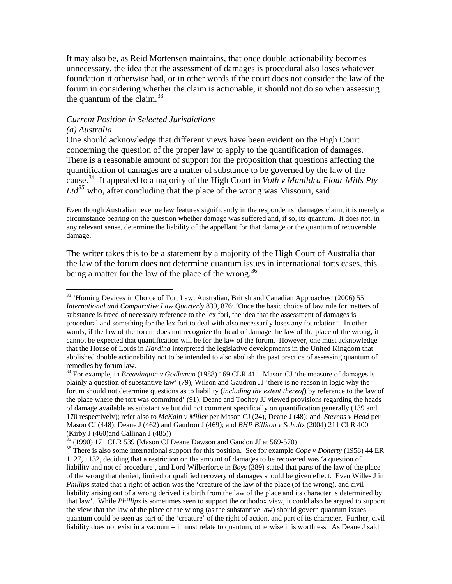It may also be, as Reid Mortensen maintains, that once double actionability becomes unnecessary, the idea that the assessment of damages is procedural also loses whatever foundation it otherwise had, or in other words if the court does not consider the law of the forum in considering whether the claim is actionable, it should not do so when assessing the quantum of the claim. $^{33}$  $^{33}$  $^{33}$ 

### *Current Position in Selected Jurisdictions (a) Australia*

 $\overline{a}$ 

One should acknowledge that different views have been evident on the High Court concerning the question of the proper law to apply to the quantification of damages. There is a reasonable amount of support for the proposition that questions affecting the quantification of damages are a matter of substance to be governed by the law of the cause.[34](#page-6-1) It appealed to a majority of the High Court in *Voth v Manildra Flour Mills Pty Ltd[35](#page-6-2)* who, after concluding that the place of the wrong was Missouri, said

Even though Australian revenue law features significantly in the respondents' damages claim, it is merely a circumstance bearing on the question whether damage was suffered and, if so, its quantum. It does not, in any relevant sense, determine the liability of the appellant for that damage or the quantum of recoverable damage.

The writer takes this to be a statement by a majority of the High Court of Australia that the law of the forum does not determine quantum issues in international torts cases, this being a matter for the law of the place of the wrong.<sup>[36](#page-6-3)</sup>

<span id="page-6-0"></span><sup>&</sup>lt;sup>33</sup> 'Homing Devices in Choice of Tort Law: Australian, British and Canadian Approaches' (2006) 55 *International and Comparative Law Quarterly* 839, 876: 'Once the basic choice of law rule for matters of substance is freed of necessary reference to the lex fori, the idea that the assessment of damages is procedural and something for the lex fori to deal with also necessarily loses any foundation'. In other words, if the law of the forum does not recognize the head of damage the law of the place of the wrong, it cannot be expected that quantification will be for the law of the forum. However, one must acknowledge that the House of Lords in *Harding* interpreted the legislative developments in the United Kingdom that abolished double actionability not to be intended to also abolish the past practice of assessing quantum of remedies by forum law.

<span id="page-6-1"></span><sup>34</sup> For example, in *Breavington v Godleman* (1988) 169 CLR 41 – Mason CJ 'the measure of damages is plainly a question of substantive law' (79), Wilson and Gaudron JJ 'there is no reason in logic why the forum should not determine questions as to liability (*including the extent thereof*) by reference to the law of the place where the tort was committed' (91), Deane and Toohey JJ viewed provisions regarding the heads of damage available as substantive but did not comment specifically on quantification generally (139 and 170 respectively); refer also to *McKain v Miller* per Mason CJ (24), Deane J (48); and *Stevens v Head* per Mason CJ (448), Deane J (462) and Gaudron J (469); and *BHP Billiton v Schultz* (2004) 211 CLR 400 (Kirby J (460)and Callinan J (485))

<span id="page-6-2"></span> $35$  (1990) 171 CLR 539 (Mason CJ Deane Dawson and Gaudon JJ at 569-570)

<span id="page-6-3"></span><sup>36</sup> There is also some international support for this position. See for example *Cope v Doherty* (1958) 44 ER 1127, 1132, deciding that a restriction on the amount of damages to be recovered was 'a question of liability and not of procedure', and Lord Wilberforce in *Boys* (389) stated that parts of the law of the place of the wrong that denied, limited or qualified recovery of damages should be given effect. Even Willes J in *Phillips* stated that a right of action was the 'creature of the law of the place (of the wrong), and civil liability arising out of a wrong derived its birth from the law of the place and its character is determined by that law'. While *Phillips* is sometimes seen to support the orthodox view, it could also be argued to support the view that the law of the place of the wrong (as the substantive law) should govern quantum issues – quantum could be seen as part of the 'creature' of the right of action, and part of its character. Further, civil liability does not exist in a vacuum – it must relate to quantum, otherwise it is worthless. As Deane J said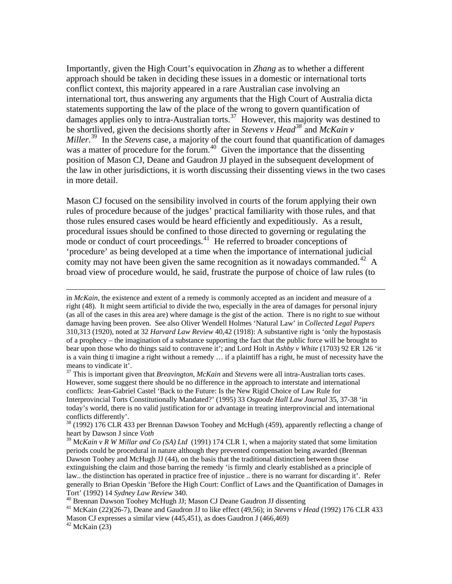Importantly, given the High Court's equivocation in *Zhang* as to whether a different approach should be taken in deciding these issues in a domestic or international torts conflict context, this majority appeared in a rare Australian case involving an international tort, thus answering any arguments that the High Court of Australia dicta statements supporting the law of the place of the wrong to govern quantification of damages applies only to intra-Australian torts.<sup>[37](#page-7-0)</sup> However, this majority was destined to be shortlived, given the decisions shortly after in *Stevens v Head[38](#page-7-1)* and *McKain v Miller*. [39](#page-7-2) In the *Stevens* case, a majority of the court found that quantification of damages was a matter of procedure for the forum.<sup>[40](#page-7-3)</sup> Given the importance that the dissenting position of Mason CJ, Deane and Gaudron JJ played in the subsequent development of the law in other jurisdictions, it is worth discussing their dissenting views in the two cases in more detail.

Mason CJ focused on the sensibility involved in courts of the forum applying their own rules of procedure because of the judges' practical familiarity with those rules, and that those rules ensured cases would be heard efficiently and expeditiously. As a result, procedural issues should be confined to those directed to governing or regulating the mode or conduct of court proceedings.<sup>[41](#page-7-4)</sup> He referred to broader conceptions of 'procedure' as being developed at a time when the importance of international judicial comity may not have been given the same recognition as it nowadays commanded.<sup>[42](#page-7-5)</sup> A broad view of procedure would, he said, frustrate the purpose of choice of law rules (to

<span id="page-7-0"></span>37 This is important given that *Breavington*, *McKain* and *Stevens* were all intra-Australian torts cases. However, some suggest there should be no difference in the approach to interstate and international conflicts: Jean-Gabriel Castel 'Back to the Future: Is the New Rigid Choice of Law Rule for Interprovincial Torts Constitutionally Mandated?' (1995) 33 *Osgoode Hall Law Journal* 35, 37-38 'in today's world, there is no valid justification for or advantage in treating interprovincial and international conflicts differently'.

in *McKain*, the existence and extent of a remedy is commonly accepted as an incident and measure of a right (48). It might seem artificial to divide the two, especially in the area of damages for personal injury (as all of the cases in this area are) where damage is the gist of the action. There is no right to sue without damage having been proven. See also Oliver Wendell Holmes 'Natural Law' in *Collected Legal Papers* 310,313 (1920), noted at 32 *Harvard Law Review* 40,42 (1918): A substantive right is 'only the hypostasis of a prophecy – the imagination of a substance supporting the fact that the public force will be brought to bear upon those who do things said to contravene it'; and Lord Holt in *Ashby v White* (1703) 92 ER 126 'it is a vain thing ti imagine a right without a remedy … if a plaintiff has a right, he must of necessity have the means to vindicate it'.

<span id="page-7-1"></span><sup>&</sup>lt;sup>38</sup> (1992) 176 CLR 433 per Brennan Dawson Toohey and McHugh (459), apparently reflecting a change of heart by Dawson J since *Voth*

<span id="page-7-2"></span><sup>&</sup>lt;sup>39</sup> Mc*Kain v R W Millar and Co (SA) Ltd* (1991) 174 CLR 1, when a majority stated that some limitation periods could be procedural in nature although they prevented compensation being awarded (Brennan Dawson Toohey and McHugh JJ (44), on the basis that the traditional distinction between those extinguishing the claim and those barring the remedy 'is firmly and clearly established as a principle of law.. the distinction has operated in practice free of injustice .. there is no warrant for discarding it'. Refer generally to Brian Opeskin 'Before the High Court: Conflict of Laws and the Quantification of Damages in Tort' (1992) 14 *Sydney Law Review* 340.<br><sup>40</sup> Brennan Dawson Toohey McHugh JJ; Mason CJ Deane Gaudron JJ dissenting

<span id="page-7-4"></span><span id="page-7-3"></span><sup>41</sup> McKain (22)(26-7), Deane and Gaudron JJ to like effect (49,56); in *Stevens v Head* (1992) 176 CLR 433 Mason CJ expresses a similar view (445,451), as does Gaudron J (466,469)

<span id="page-7-5"></span> $42$  McKain (23)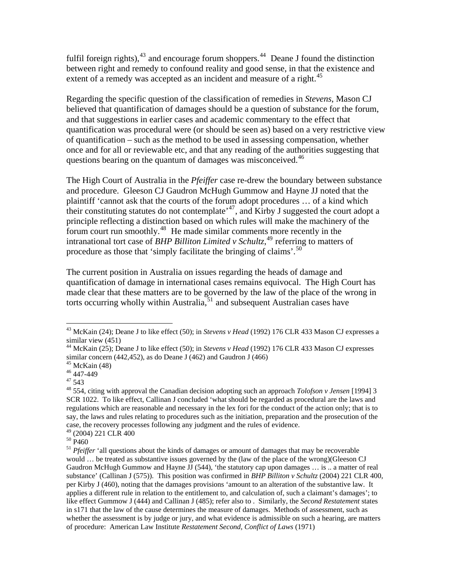fulfil foreign rights), $43$  and encourage forum shoppers. $44$  Deane J found the distinction between right and remedy to confound reality and good sense, in that the existence and extent of a remedy was accepted as an incident and measure of a right.<sup>[45](#page-8-2)</sup>

Regarding the specific question of the classification of remedies in *Stevens*, Mason CJ believed that quantification of damages should be a question of substance for the forum, and that suggestions in earlier cases and academic commentary to the effect that quantification was procedural were (or should be seen as) based on a very restrictive view of quantification – such as the method to be used in assessing compensation, whether once and for all or reviewable etc, and that any reading of the authorities suggesting that questions bearing on the quantum of damages was misconceived.<sup>[46](#page-8-3)</sup>

The High Court of Australia in the *Pfeiffer* case re-drew the boundary between substance and procedure. Gleeson CJ Gaudron McHugh Gummow and Hayne JJ noted that the plaintiff 'cannot ask that the courts of the forum adopt procedures … of a kind which their constituting statutes do not contemplate<sup>, [47](#page-8-4)</sup>, and Kirby J suggested the court adopt a principle reflecting a distinction based on which rules will make the machinery of the forum court run smoothly.[48](#page-8-5) He made similar comments more recently in the intranational tort case of *BHP Billiton Limited v Schultz*, [49](#page-8-6) referring to matters of procedure as those that 'simply facilitate the bringing of claims'.<sup>[50](#page-8-7)</sup>

The current position in Australia on issues regarding the heads of damage and quantification of damage in international cases remains equivocal. The High Court has made clear that these matters are to be governed by the law of the place of the wrong in torts occurring wholly within Australia, $51$  and subsequent Australian cases have

<span id="page-8-0"></span><sup>43</sup> McKain (24); Deane J to like effect (50); in *Stevens v Head* (1992) 176 CLR 433 Mason CJ expresses a similar view (451)

<span id="page-8-1"></span><sup>44</sup> McKain (25); Deane J to like effect (50); in *Stevens v Head* (1992) 176 CLR 433 Mason CJ expresses similar concern (442,452), as do Deane J (462) and Gaudron J (466)

<span id="page-8-2"></span> $45$  McKain (48)

<span id="page-8-3"></span><sup>46 447-449</sup>   $47,543$ 

<span id="page-8-5"></span><span id="page-8-4"></span><sup>48 554,</sup> citing with approval the Canadian decision adopting such an approach *Tolofson v Jensen* [1994] 3 SCR 1022. To like effect, Callinan J concluded 'what should be regarded as procedural are the laws and regulations which are reasonable and necessary in the lex fori for the conduct of the action only; that is to say, the laws and rules relating to procedures such as the initiation, preparation and the prosecution of the case, the recovery processes following any judgment and the rules of evidence.

<span id="page-8-6"></span><sup>49 (2004) 221</sup> CLR 400

<span id="page-8-7"></span><sup>50</sup> P460

<span id="page-8-8"></span><sup>&</sup>lt;sup>51</sup> *Pfeiffer* 'all questions about the kinds of damages or amount of damages that may be recoverable would ... be treated as substantive issues governed by the (law of the place of the wrong)(Gleeson CJ Gaudron McHugh Gummow and Hayne JJ (544), 'the statutory cap upon damages … is .. a matter of real substance' (Callinan J (575)). This position was confirmed in *BHP Billiton v Schultz* (2004) 221 CLR 400, per Kirby J (460), noting that the damages provisions 'amount to an alteration of the substantive law. It applies a different rule in relation to the entitlement to, and calculation of, such a claimant's damages'; to like effect Gummow J (444) and Callinan J (485); refer also to . Similarly, the *Second Restatement* states in s171 that the law of the cause determines the measure of damages. Methods of assessment, such as whether the assessment is by judge or jury, and what evidence is admissible on such a hearing, are matters of procedure: American Law Institute *Restatement Second, Conflict of Laws* (1971)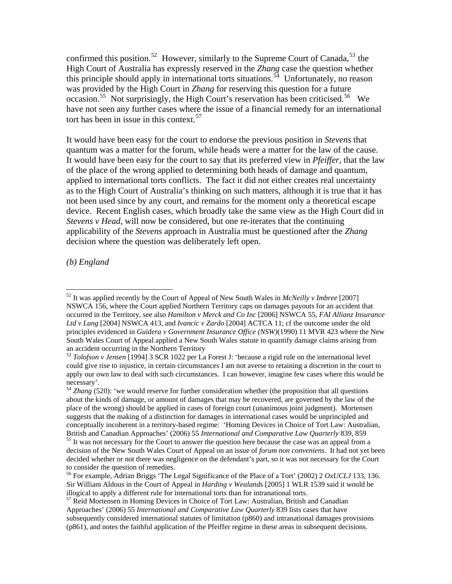confirmed this position.<sup>[52](#page-9-0)</sup> However, similarly to the Supreme Court of Canada,<sup>53</sup> the High Court of Australia has expressly reserved in the *Zhang* case the question whether this principle should apply in international torts situations.<sup> $54$ </sup> Unfortunately, no reason was provided by the High Court in *Zhang* for reserving this question for a future occasion.<sup>[55](#page-9-3)</sup> Not surprisingly, the High Court's reservation has been criticised.<sup>56</sup> We have not seen any further cases where the issue of a financial remedy for an international tort has been in issue in this context. $57$ 

It would have been easy for the court to endorse the previous position in *Stevens* that quantum was a matter for the forum, while heads were a matter for the law of the cause. It would have been easy for the court to say that its preferred view in *Pfeiffer*, that the law of the place of the wrong applied to determining both heads of damage and quantum, applied to international torts conflicts. The fact it did not either creates real uncertainty as to the High Court of Australia's thinking on such matters, although it is true that it has not been used since by any court, and remains for the moment only a theoretical escape device. Recent English cases, which broadly take the same view as the High Court did in *Stevens v Head*, will now be considered, but one re-iterates that the continuing applicability of the *Stevens* approach in Australia must be questioned after the *Zhang* decision where the question was deliberately left open.

*(b) England* 

<span id="page-9-0"></span> $\overline{a}$ 52 It was applied recently by the Court of Appeal of New South Wales in *McNeilly v Imbree* [2007] NSWCA 156, where the Court applied Northern Territory caps on damages payouts for an accident that occurred in the Territory, see also *Hamilton v Merck and Co Inc* [2006] NSWCA 55, *FAI Allianz Insurance Ltd v Lang* [2004] NSWCA 413, and *Ivancic v Zardo* [2004] ACTCA 11; cf the outcome under the old principles evidenced in *Guidera v Government Insurance Office (NSW)*(1990) 11 MVR 423 where the New South Wales Court of Appeal applied a New South Wales statute to quantify damage claims arising from

<span id="page-9-1"></span><sup>&</sup>lt;sup>53</sup> *Tolofson v Jensen* [1994] 3 SCR 1022 per La Forest J: 'because a rigid rule on the international level could give rise to injustice, in certain circumstances I am not averse to retaining a discretion in the court to apply our own law to deal with such circumstances. I can however, imagine few cases where this would be necessary'.

<span id="page-9-2"></span><sup>&</sup>lt;sup>54</sup> *Zhang* (520): 'we would reserve for further consideration whether (the proposition that all questions about the kinds of damage, or amount of damages that may be recovered, are governed by the law of the place of the wrong) should be applied in cases of foreign court (unanimous joint judgment). Mortensen suggests that the making of a distinction for damages in international cases would be unprincipled and conceptually incoherent in a territory-based regime: 'Homing Devices in Choice of Tort Law: Australian, British and Canadian Approaches' (2006) 55 *International and Comparative Law Quarterly* 839, 859<br><sup>55</sup> It was not necessary for the Court to answer the question here because the case was an appeal from a

<span id="page-9-3"></span>decision of the New South Wales Court of Appeal on an issue of *forum non conveniens*. It had not yet been decided whether or not there was negligence on the defendant's part, so it was not necessary for the Court to consider the question of remedies.

<span id="page-9-4"></span><sup>56</sup> For example, Adrian Briggs 'The Legal Significance of the Place of a Tort' (2002) 2 *OxUCLJ* 133, 136. Sir William Aldous in the Court of Appeal in *Harding v Wealands* [2005] 1 WLR 1539 said it would be illogical to apply a different rule for international torts than for intranational torts.

<span id="page-9-5"></span><sup>&</sup>lt;sup>57</sup> Reid Mortensen in Homing Devices in Choice of Tort Law: Australian, British and Canadian Approaches' (2006) 55 *International and Comparative Law Quarterly* 839 lists cases that have subsequently considered international statutes of limitation (p860) and intranational damages provisions (p861), and notes the faithful application of the Pfeiffer regime in these areas in subsequent decisions.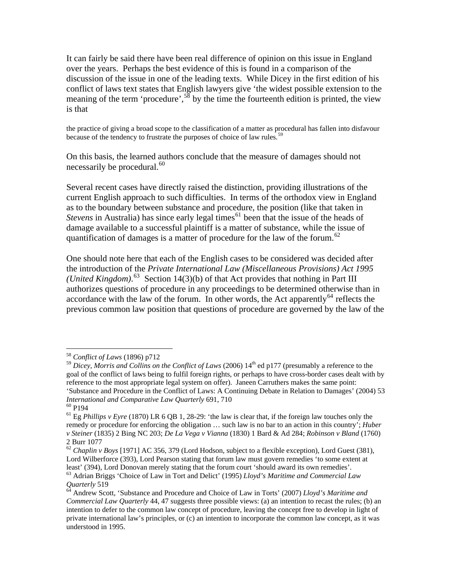It can fairly be said there have been real difference of opinion on this issue in England over the years. Perhaps the best evidence of this is found in a comparison of the discussion of the issue in one of the leading texts. While Dicey in the first edition of his conflict of laws text states that English lawyers give 'the widest possible extension to the meaning of the term 'procedure',  $\frac{58}{9}$  $\frac{58}{9}$  $\frac{58}{9}$  by the time the fourteenth edition is printed, the view is that

the practice of giving a broad scope to the classification of a matter as procedural has fallen into disfavour because of the tendency to frustrate the purposes of choice of law rules.<sup>[59](#page-10-1)</sup>

On this basis, the learned authors conclude that the measure of damages should not necessarily be procedural. $60$ 

Several recent cases have directly raised the distinction, providing illustrations of the current English approach to such difficulties. In terms of the orthodox view in England as to the boundary between substance and procedure, the position (like that taken in *Stevens* in Australia) has since early legal times<sup>[61](#page-10-3)</sup> been that the issue of the heads of damage available to a successful plaintiff is a matter of substance, while the issue of quantification of damages is a matter of procedure for the law of the forum.<sup>[62](#page-10-4)</sup>

One should note here that each of the English cases to be considered was decided after the introduction of the *Private International Law (Miscellaneous Provisions) Act 1995*  (*United Kingdom*).<sup>[63](#page-10-5)</sup> Section 14(3)(b) of that Act provides that nothing in Part III authorizes questions of procedure in any proceedings to be determined otherwise than in accordance with the law of the forum. In other words, the Act apparently<sup>[64](#page-10-6)</sup> reflects the previous common law position that questions of procedure are governed by the law of the

<span id="page-10-0"></span><sup>58</sup> *Conflict of Laws* (1896) p712

<span id="page-10-1"></span><sup>&</sup>lt;sup>59</sup> Dicey, Morris and Collins on the Conflict of Laws (2006) 14<sup>th</sup> ed p177 (presumably a reference to the goal of the conflict of laws being to fulfil foreign rights, or perhaps to have cross-border cases dealt with by reference to the most appropriate legal system on offer). Janeen Carruthers makes the same point: 'Substance and Procedure in the Conflict of Laws: A Continuing Debate in Relation to Damages' (2004) 53 *International and Comparative Law Quarterly* 691, 710 <sup>60</sup> P194

<span id="page-10-3"></span><span id="page-10-2"></span><sup>&</sup>lt;sup>61</sup> Eg *Phillips v Eyre* (1870) LR 6 QB 1, 28-29: 'the law is clear that, if the foreign law touches only the remedy or procedure for enforcing the obligation … such law is no bar to an action in this country'; *Huber v Steiner* (1835) 2 Bing NC 203; *De La Vega v Vianna* (1830) 1 Bard & Ad 284; *Robinson v Bland* (1760) 2 Burr 1077

<span id="page-10-4"></span><sup>62</sup> *Chaplin v Boys* [1971] AC 356, 379 (Lord Hodson, subject to a flexible exception), Lord Guest (381), Lord Wilberforce (393), Lord Pearson stating that forum law must govern remedies 'to some extent at least' (394), Lord Donovan merely stating that the forum court 'should award its own remedies'. 63 Adrian Briggs 'Choice of Law in Tort and Delict' (1995) *Lloyd's Maritime and Commercial Law* 

<span id="page-10-5"></span>*Quarterly* 519 64 Andrew Scott, 'Substance and Procedure and Choice of Law in Torts' (2007) *Lloyd's Maritime and* 

<span id="page-10-6"></span>*Commercial Law Quarterly* 44, 47 suggests three possible views: (a) an intention to recast the rules; (b) an intention to defer to the common law concept of procedure, leaving the concept free to develop in light of private international law's principles, or (c) an intention to incorporate the common law concept, as it was understood in 1995.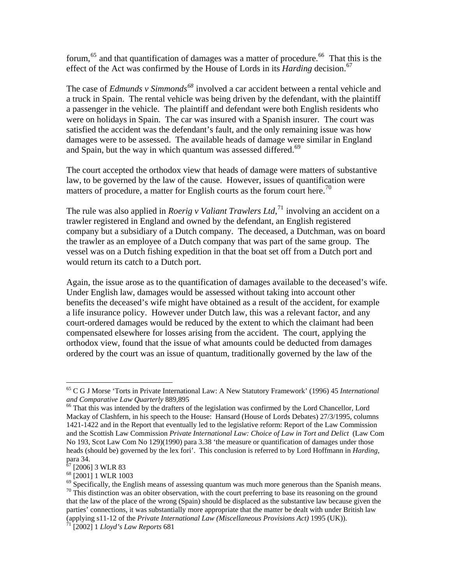forum,<sup>[65](#page-11-0)</sup> and that quantification of damages was a matter of procedure.<sup>66</sup> That this is the effect of the Act was confirmed by the House of Lords in its *Harding* decision.<sup>[67](#page-11-2)</sup>

The case of *Edmunds v Simmonds[68](#page-11-3)* involved a car accident between a rental vehicle and a truck in Spain. The rental vehicle was being driven by the defendant, with the plaintiff a passenger in the vehicle. The plaintiff and defendant were both English residents who were on holidays in Spain. The car was insured with a Spanish insurer. The court was satisfied the accident was the defendant's fault, and the only remaining issue was how damages were to be assessed. The available heads of damage were similar in England and Spain, but the way in which quantum was assessed differed.<sup>[69](#page-11-4)</sup>

The court accepted the orthodox view that heads of damage were matters of substantive law, to be governed by the law of the cause. However, issues of quantification were matters of procedure, a matter for English courts as the forum court here.<sup>[70](#page-11-5)</sup>

The rule was also applied in *Roerig v Valiant Trawlers Ltd*,<sup>[71](#page-11-6)</sup> involving an accident on a trawler registered in England and owned by the defendant, an English registered company but a subsidiary of a Dutch company. The deceased, a Dutchman, was on board the trawler as an employee of a Dutch company that was part of the same group. The vessel was on a Dutch fishing expedition in that the boat set off from a Dutch port and would return its catch to a Dutch port.

Again, the issue arose as to the quantification of damages available to the deceased's wife. Under English law, damages would be assessed without taking into account other benefits the deceased's wife might have obtained as a result of the accident, for example a life insurance policy. However under Dutch law, this was a relevant factor, and any court-ordered damages would be reduced by the extent to which the claimant had been compensated elsewhere for losses arising from the accident. The court, applying the orthodox view, found that the issue of what amounts could be deducted from damages ordered by the court was an issue of quantum, traditionally governed by the law of the

<span id="page-11-0"></span><sup>65</sup> C G J Morse 'Torts in Private International Law: A New Statutory Framework' (1996) 45 *International and Comparative Law Quarterly* 889,895<br><sup>66</sup> That this was intended by the drafters of the legislation was confirmed by the Lord Chancellor, Lord

<span id="page-11-1"></span>Mackay of Clashfern, in his speech to the House: Hansard (House of Lords Debates) 27/3/1995, columns 1421-1422 and in the Report that eventually led to the legislative reform: Report of the Law Commission and the Scottish Law Commission *Private International Law: Choice of Law in Tort and Delict* (Law Com No 193, Scot Law Com No 129)(1990) para 3.38 'the measure or quantification of damages under those heads (should be) governed by the lex fori'. This conclusion is referred to by Lord Hoffmann in *Harding*, para 34.

 $67$  [2006] 3 WLR 83

<span id="page-11-3"></span><span id="page-11-2"></span><sup>&</sup>lt;sup>68</sup> [2001] 1 WLR 1003

<span id="page-11-5"></span><span id="page-11-4"></span> $69$  Specifically, the English means of assessing quantum was much more generous than the Spanish means.  $70$  This distinction was an obiter observation, with the court preferring to base its reasoning on the ground that the law of the place of the wrong (Spain) should be displaced as the substantive law because given the parties' connections, it was substantially more appropriate that the matter be dealt with under British law (applying s11-12 of the *Private International Law (Miscellaneous Provisions Act)* 1995 (UK)). 71 [2002] 1 *Lloyd's Law Reports* 681

<span id="page-11-6"></span>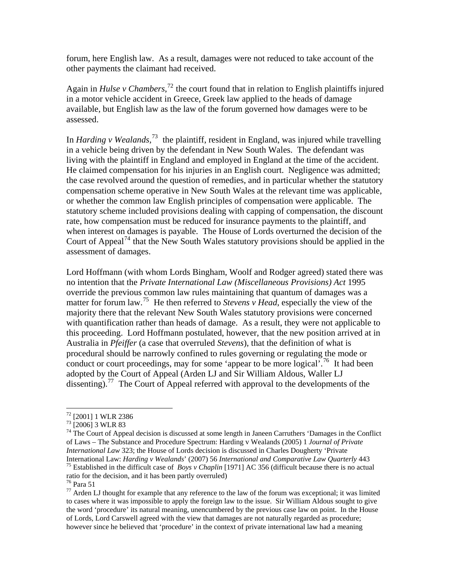forum, here English law. As a result, damages were not reduced to take account of the other payments the claimant had received.

Again in *Hulse v Chambers*, [72](#page-12-0) the court found that in relation to English plaintiffs injured in a motor vehicle accident in Greece, Greek law applied to the heads of damage available, but English law as the law of the forum governed how damages were to be assessed.

In *Harding v Wealands*,<sup>[73](#page-12-1)</sup> the plaintiff, resident in England, was injured while travelling in a vehicle being driven by the defendant in New South Wales. The defendant was living with the plaintiff in England and employed in England at the time of the accident. He claimed compensation for his injuries in an English court. Negligence was admitted; the case revolved around the question of remedies, and in particular whether the statutory compensation scheme operative in New South Wales at the relevant time was applicable, or whether the common law English principles of compensation were applicable. The statutory scheme included provisions dealing with capping of compensation, the discount rate, how compensation must be reduced for insurance payments to the plaintiff, and when interest on damages is payable. The House of Lords overturned the decision of the Court of Appeal<sup>[74](#page-12-2)</sup> that the New South Wales statutory provisions should be applied in the assessment of damages.

Lord Hoffmann (with whom Lords Bingham, Woolf and Rodger agreed) stated there was no intention that the *Private International Law (Miscellaneous Provisions) Act* 1995 override the previous common law rules maintaining that quantum of damages was a matter for forum law.<sup>[75](#page-12-3)</sup> He then referred to *Stevens v Head*, especially the view of the majority there that the relevant New South Wales statutory provisions were concerned with quantification rather than heads of damage. As a result, they were not applicable to this proceeding. Lord Hoffmann postulated, however, that the new position arrived at in Australia in *Pfeiffer* (a case that overruled *Stevens*), that the definition of what is procedural should be narrowly confined to rules governing or regulating the mode or conduct or court proceedings, may for some 'appear to be more logical'.<sup>[76](#page-12-4)</sup> It had been adopted by the Court of Appeal (Arden LJ and Sir William Aldous, Waller LJ dissenting).<sup>[77](#page-12-5)</sup> The Court of Appeal referred with approval to the developments of the

<sup>72 [2001] 1</sup> WLR 2386

<span id="page-12-1"></span><span id="page-12-0"></span><sup>73 [2006] 3</sup> WLR 83

<span id="page-12-2"></span><sup>&</sup>lt;sup>74</sup> The Court of Appeal decision is discussed at some length in Janeen Carruthers 'Damages in the Conflict of Laws – The Substance and Procedure Spectrum: Harding v Wealands (2005) 1 *Journal of Private International Law* 323; the House of Lords decision is discussed in Charles Dougherty 'Private

<span id="page-12-3"></span>International Law: *Harding v Wealands*' (2007) 56 *International and Comparative Law Quarterly* 443 75 Established in the difficult case of *Boys v Chaplin* [1971] AC 356 (difficult because there is no actual ratio for the decision, and it has been partly overruled)

<span id="page-12-4"></span> $76$  Para 51

<span id="page-12-5"></span> $77$  Arden LJ thought for example that any reference to the law of the forum was exceptional; it was limited to cases where it was impossible to apply the foreign law to the issue. Sir William Aldous sought to give the word 'procedure' its natural meaning, unencumbered by the previous case law on point. In the House of Lords, Lord Carswell agreed with the view that damages are not naturally regarded as procedure; however since he believed that 'procedure' in the context of private international law had a meaning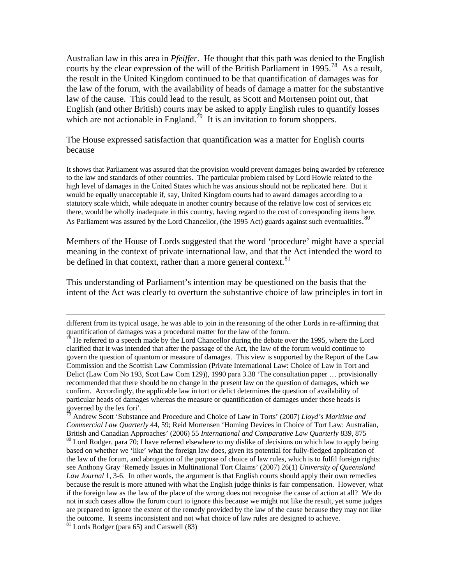Australian law in this area in *Pfeiffer*. He thought that this path was denied to the English courts by the clear expression of the will of the British Parliament in 1995.<sup>[78](#page-13-0)</sup> As a result, the result in the United Kingdom continued to be that quantification of damages was for the law of the forum, with the availability of heads of damage a matter for the substantive law of the cause. This could lead to the result, as Scott and Mortensen point out, that English (and other British) courts may be asked to apply English rules to quantify losses which are not actionable in England.<sup> $\frac{79}{9}$  $\frac{79}{9}$  $\frac{79}{9}$ </sup> It is an invitation to forum shoppers.

The House expressed satisfaction that quantification was a matter for English courts because

It shows that Parliament was assured that the provision would prevent damages being awarded by reference to the law and standards of other countries. The particular problem raised by Lord Howie related to the high level of damages in the United States which he was anxious should not be replicated here. But it would be equally unacceptable if, say, United Kingdom courts had to award damages according to a statutory scale which, while adequate in another country because of the relative low cost of services etc there, would be wholly inadequate in this country, having regard to the cost of corresponding items here. As Parliament was assured by the Lord Chancellor, (the 1995 Act) guards against such eventualities.<sup>[80](#page-13-2)</sup>

Members of the House of Lords suggested that the word 'procedure' might have a special meaning in the context of private international law, and that the Act intended the word to be defined in that context, rather than a more general context.<sup>[81](#page-13-3)</sup>

This understanding of Parliament's intention may be questioned on the basis that the intent of the Act was clearly to overturn the substantive choice of law principles in tort in

<span id="page-13-2"></span><span id="page-13-1"></span>79 Andrew Scott 'Substance and Procedure and Choice of Law in Torts' (2007) *Lloyd's Maritime and Commercial Law Quarterly* 44, 59; Reid Mortensen 'Homing Devices in Choice of Tort Law: Australian, British and Canadian Approaches' (2006) 55 *International and Comparative Law Quarterly* 839, 875 <sup>80</sup> Lord Rodger, para 70; I have referred elsewhere to my dislike of decisions on which law to apply being based on whether we 'like' what the foreign law does, given its potential for fully-fledged application of the law of the forum, and abrogation of the purpose of choice of law rules, which is to fulfil foreign rights: see Anthony Gray 'Remedy Issues in Multinational Tort Claims' (2007) 26(1) *University of Queensland Law Journal* 1, 3-6. In other words, the argument is that English courts should apply their own remedies because the result is more attuned with what the English judge thinks is fair compensation. However, what if the foreign law as the law of the place of the wrong does not recognise the cause of action at all? We do not in such cases allow the forum court to ignore this because we might not like the result, yet some judges are prepared to ignore the extent of the remedy provided by the law of the cause because they may not like the outcome. It seems inconsistent and not what choice of law rules are designed to achieve. 81 Lords Rodger (para 65) and Carswell (83)

different from its typical usage, he was able to join in the reasoning of the other Lords in re-affirming that quantification of damages was a procedural matter for the law of the forum.

<span id="page-13-0"></span> $^{78}$  He referred to a speech made by the Lord Chancellor during the debate over the 1995, where the Lord clarified that it was intended that after the passage of the Act, the law of the forum would continue to govern the question of quantum or measure of damages. This view is supported by the Report of the Law Commission and the Scottish Law Commission (Private International Law: Choice of Law in Tort and Delict (Law Com No 193, Scot Law Com 129)), 1990 para 3.38 'The consultation paper … provisionally recommended that there should be no change in the present law on the question of damages, which we confirm. Accordingly, the applicable law in tort or delict determines the question of availability of particular heads of damages whereas the measure or quantification of damages under those heads is governed by the lex fori'.

<span id="page-13-3"></span>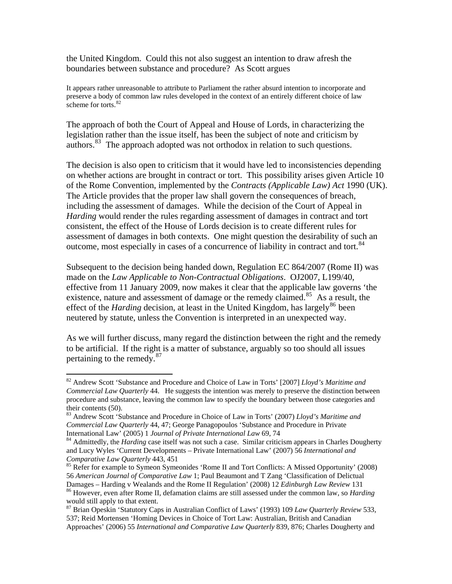the United Kingdom. Could this not also suggest an intention to draw afresh the boundaries between substance and procedure? As Scott argues

It appears rather unreasonable to attribute to Parliament the rather absurd intention to incorporate and preserve a body of common law rules developed in the context of an entirely different choice of law scheme for torts.<sup>[82](#page-14-0)</sup>

The approach of both the Court of Appeal and House of Lords, in characterizing the legislation rather than the issue itself, has been the subject of note and criticism by authors.[83](#page-14-1) The approach adopted was not orthodox in relation to such questions.

The decision is also open to criticism that it would have led to inconsistencies depending on whether actions are brought in contract or tort. This possibility arises given Article 10 of the Rome Convention, implemented by the *Contracts (Applicable Law) Act* 1990 (UK). The Article provides that the proper law shall govern the consequences of breach, including the assessment of damages. While the decision of the Court of Appeal in *Harding* would render the rules regarding assessment of damages in contract and tort consistent, the effect of the House of Lords decision is to create different rules for assessment of damages in both contexts. One might question the desirability of such an outcome, most especially in cases of a concurrence of liability in contract and tort.<sup>[84](#page-14-2)</sup>

Subsequent to the decision being handed down, Regulation EC 864/2007 (Rome II) was made on the *Law Applicable to Non-Contractual Obligations*. OJ2007, L199/40, effective from 11 January 2009, now makes it clear that the applicable law governs 'the existence, nature and assessment of damage or the remedy claimed.<sup>[85](#page-14-3)</sup> As a result, the effect of the *Harding* decision, at least in the United Kingdom, has largely<sup>[86](#page-14-4)</sup> been neutered by statute, unless the Convention is interpreted in an unexpected way.

As we will further discuss, many regard the distinction between the right and the remedy to be artificial. If the right is a matter of substance, arguably so too should all issues pertaining to the remedy.<sup>[87](#page-14-5)</sup>

<span id="page-14-0"></span><sup>82</sup> Andrew Scott 'Substance and Procedure and Choice of Law in Torts' [2007] *Lloyd's Maritime and Commercial Law Quarterly* 44. He suggests the intention was merely to preserve the distinction between procedure and substance, leaving the common law to specify the boundary between those categories and their contents (50).

<span id="page-14-1"></span><sup>83</sup> Andrew Scott 'Substance and Procedure in Choice of Law in Torts' (2007) *Lloyd's Maritime and Commercial Law Quarterly* 44, 47; George Panagopoulos 'Substance and Procedure in Private International Law' (2005) 1 *Journal of Private International Law* 69, 74<br><sup>84</sup> Admittedly, the *Harding* case itself was not such a case. Similar criticism appears in Charles Dougherty

<span id="page-14-2"></span>and Lucy Wyles 'Current Developments – Private International Law' (2007) 56 *International and Comparative Law Quarterly* 443, 451<br><sup>85</sup> Refer for example to Symeon Symeonides 'Rome II and Tort Conflicts: A Missed Opportunity' (2008)

<span id="page-14-3"></span><sup>56</sup> *American Journal of Comparative Law* 1; Paul Beaumont and T Zang 'Classification of Delictual Damages – Harding v Wealands and the Rome II Regulation' (2008) 12 *Edinburgh Law Review* 131 <sup>86</sup> However, even after Rome II, defamation claims are still assessed under the common law, so *Harding* 

<span id="page-14-4"></span>would still apply to that extent.

<span id="page-14-5"></span><sup>87</sup> Brian Opeskin 'Statutory Caps in Australian Conflict of Laws' (1993) 109 *Law Quarterly Review* 533, 537; Reid Mortensen 'Homing Devices in Choice of Tort Law: Australian, British and Canadian Approaches' (2006) 55 *International and Comparative Law Quarterly* 839, 876; Charles Dougherty and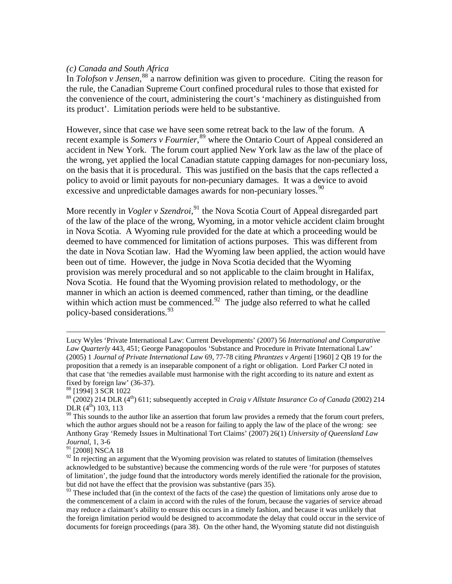# *(c) Canada and South Africa*

In *Tolofson v Jensen*,<sup>[88](#page-15-0)</sup> a narrow definition was given to procedure. Citing the reason for the rule, the Canadian Supreme Court confined procedural rules to those that existed for the convenience of the court, administering the court's 'machinery as distinguished from its product'. Limitation periods were held to be substantive.

However, since that case we have seen some retreat back to the law of the forum. A recent example is *Somers v Fournier*, [89](#page-15-1) where the Ontario Court of Appeal considered an accident in New York. The forum court applied New York law as the law of the place of the wrong, yet applied the local Canadian statute capping damages for non-pecuniary loss, on the basis that it is procedural. This was justified on the basis that the caps reflected a policy to avoid or limit payouts for non-pecuniary damages. It was a device to avoid excessive and unpredictable damages awards for non-pecuniary losses.<sup>[90](#page-15-2)</sup>

More recently in *Vogler v Szendroi*, [91](#page-15-3) the Nova Scotia Court of Appeal disregarded part of the law of the place of the wrong, Wyoming, in a motor vehicle accident claim brought in Nova Scotia. A Wyoming rule provided for the date at which a proceeding would be deemed to have commenced for limitation of actions purposes. This was different from the date in Nova Scotian law. Had the Wyoming law been applied, the action would have been out of time. However, the judge in Nova Scotia decided that the Wyoming provision was merely procedural and so not applicable to the claim brought in Halifax, Nova Scotia. He found that the Wyoming provision related to methodology, or the manner in which an action is deemed commenced, rather than timing, or the deadline within which action must be commenced.<sup>[92](#page-15-4)</sup> The judge also referred to what he called policy-based considerations.<sup>[93](#page-15-5)</sup>

Lucy Wyles 'Private International Law: Current Developments' (2007) 56 *International and Comparative Law Quarterly* 443, 451; George Panagopoulos 'Substance and Procedure in Private International Law' (2005) 1 *Journal of Private International Law* 69, 77-78 citing *Phrantzes v Argenti* [1960] 2 QB 19 for the proposition that a remedy is an inseparable component of a right or obligation. Lord Parker CJ noted in that case that 'the remedies available must harmonise with the right according to its nature and extent as fixed by foreign law' (36-37).

<span id="page-15-0"></span><sup>88 [1994] 3</sup> SCR 1022

<span id="page-15-1"></span><sup>&</sup>lt;sup>89</sup> (2002) 214 DLR (4<sup>th</sup>) 611; subsequently accepted in *Craig v Allstate Insurance Co of Canada* (2002) 214 DLR  $(4^{th})$  103, 113

<span id="page-15-2"></span><sup>&</sup>lt;sup>90</sup> This sounds to the author like an assertion that forum law provides a remedy that the forum court prefers, which the author argues should not be a reason for failing to apply the law of the place of the wrong: see Anthony Gray 'Remedy Issues in Multinational Tort Claims' (2007) 26(1) *University of Queensland Law Journal*, 1, 3-6

<span id="page-15-3"></span> $^{91}$  [2008] NSCA 18

<span id="page-15-4"></span> $92$  In rejecting an argument that the Wyoming provision was related to statutes of limitation (themselves acknowledged to be substantive) because the commencing words of the rule were 'for purposes of statutes of limitation', the judge found that the introductory words merely identified the rationale for the provision, but did not have the effect that the provision was substantive (pars 35).

<span id="page-15-5"></span><sup>&</sup>lt;sup>93</sup> These included that (in the context of the facts of the case) the question of limitations only arose due to the commencement of a claim in accord with the rules of the forum, because the vagaries of service abroad may reduce a claimant's ability to ensure this occurs in a timely fashion, and because it was unlikely that the foreign limitation period would be designed to accommodate the delay that could occur in the service of documents for foreign proceedings (para 38). On the other hand, the Wyoming statute did not distinguish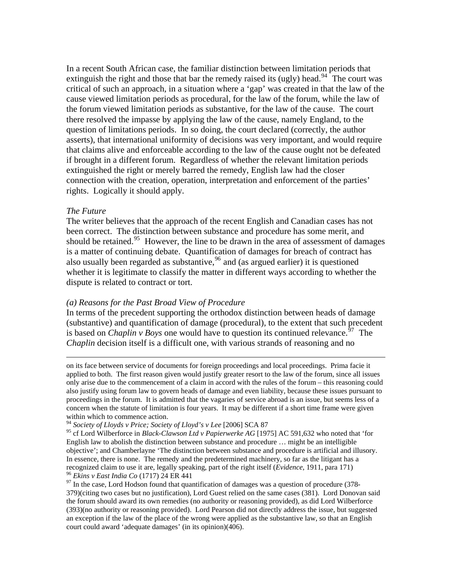In a recent South African case, the familiar distinction between limitation periods that extinguish the right and those that bar the remedy raised its (ugly) head.<sup>[94](#page-16-0)</sup> The court was critical of such an approach, in a situation where a 'gap' was created in that the law of the cause viewed limitation periods as procedural, for the law of the forum, while the law of the forum viewed limitation periods as substantive, for the law of the cause. The court there resolved the impasse by applying the law of the cause, namely England, to the question of limitations periods. In so doing, the court declared (correctly, the author asserts), that international uniformity of decisions was very important, and would require that claims alive and enforceable according to the law of the cause ought not be defeated if brought in a different forum. Regardless of whether the relevant limitation periods extinguished the right or merely barred the remedy, English law had the closer connection with the creation, operation, interpretation and enforcement of the parties' rights. Logically it should apply.

### *The Future*

The writer believes that the approach of the recent English and Canadian cases has not been correct. The distinction between substance and procedure has some merit, and should be retained.<sup>[95](#page-16-1)</sup> However, the line to be drawn in the area of assessment of damages is a matter of continuing debate. Quantification of damages for breach of contract has also usually been regarded as substantive,  $96$  and (as argued earlier) it is questioned whether it is legitimate to classify the matter in different ways according to whether the dispute is related to contract or tort.

### *(a) Reasons for the Past Broad View of Procedure*

In terms of the precedent supporting the orthodox distinction between heads of damage (substantive) and quantification of damage (procedural), to the extent that such precedent is based on *Chaplin v Boys* one would have to question its continued relevance.<sup>[97](#page-16-3)</sup> The *Chaplin* decision itself is a difficult one, with various strands of reasoning and no

 on its face between service of documents for foreign proceedings and local proceedings. Prima facie it applied to both. The first reason given would justify greater resort to the law of the forum, since all issues only arise due to the commencement of a claim in accord with the rules of the forum – this reasoning could also justify using forum law to govern heads of damage and even liability, because these issues pursuant to proceedings in the forum. It is admitted that the vagaries of service abroad is an issue, but seems less of a concern when the statute of limitation is four years. It may be different if a short time frame were given within which to commence action.

<span id="page-16-0"></span><sup>&</sup>lt;sup>94</sup> Society of Lloyds v Price; Society of Lloyd's v Lee [2006] SCA 87

<span id="page-16-1"></span><sup>95</sup> cf Lord Wilberforce in *Black-Clawson Ltd v Papierwerke AG* [1975] AC 591,632 who noted that 'for English law to abolish the distinction between substance and procedure … might be an intelligible objective'; and Chamberlayne 'The distinction between substance and procedure is artificial and illusory. In essence, there is none. The remedy and the predetermined machinery, so far as the litigant has a recognized claim to use it are, legally speaking, part of the right itself (*Evidence*, 1911, para 171)<br><sup>96</sup> *Ekins v East India Co* (1717) 24 ER 441<br><sup>97</sup> In the case, Lord Hodson found that quantification of damages was

<span id="page-16-3"></span><span id="page-16-2"></span><sup>379)(</sup>citing two cases but no justification), Lord Guest relied on the same cases (381). Lord Donovan said the forum should award its own remedies (no authority or reasoning provided), as did Lord Wilberforce (393)(no authority or reasoning provided). Lord Pearson did not directly address the issue, but suggested an exception if the law of the place of the wrong were applied as the substantive law, so that an English court could award 'adequate damages' (in its opinion)(406).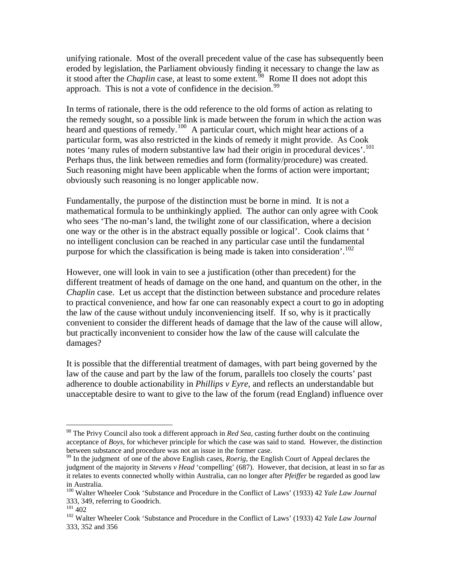unifying rationale. Most of the overall precedent value of the case has subsequently been eroded by legislation, the Parliament obviously finding it necessary to change the law as it stood after the *Chaplin* case, at least to some extent.<sup>[98](#page-17-0)</sup> Rome II does not adopt this approach. This is not a vote of confidence in the decision.<sup>[99](#page-17-1)</sup>

In terms of rationale, there is the odd reference to the old forms of action as relating to the remedy sought, so a possible link is made between the forum in which the action was heard and questions of remedy.<sup>[100](#page-17-2)</sup> A particular court, which might hear actions of a particular form, was also restricted in the kinds of remedy it might provide. As Cook notes 'many rules of modern substantive law had their origin in procedural devices'.<sup>[101](#page-17-3)</sup> Perhaps thus, the link between remedies and form (formality/procedure) was created. Such reasoning might have been applicable when the forms of action were important; obviously such reasoning is no longer applicable now.

Fundamentally, the purpose of the distinction must be borne in mind. It is not a mathematical formula to be unthinkingly applied. The author can only agree with Cook who sees 'The no-man's land, the twilight zone of our classification, where a decision one way or the other is in the abstract equally possible or logical'. Cook claims that ' no intelligent conclusion can be reached in any particular case until the fundamental purpose for which the classification is being made is taken into consideration'.<sup>[102](#page-17-4)</sup>

However, one will look in vain to see a justification (other than precedent) for the different treatment of heads of damage on the one hand, and quantum on the other, in the *Chaplin* case. Let us accept that the distinction between substance and procedure relates to practical convenience, and how far one can reasonably expect a court to go in adopting the law of the cause without unduly inconveniencing itself. If so, why is it practically convenient to consider the different heads of damage that the law of the cause will allow, but practically inconvenient to consider how the law of the cause will calculate the damages?

It is possible that the differential treatment of damages, with part being governed by the law of the cause and part by the law of the forum, parallels too closely the courts' past adherence to double actionability in *Phillips v Eyre*, and reflects an understandable but unacceptable desire to want to give to the law of the forum (read England) influence over

<span id="page-17-0"></span><sup>98</sup> The Privy Council also took a different approach in *Red Sea*, casting further doubt on the continuing acceptance of *Boys*, for whichever principle for which the case was said to stand. However, the distinction between substance and procedure was not an issue in the former case.<br><sup>99</sup> In the judgment of one of the above English cases, *Roerig*, the English Court of Appeal declares the

<span id="page-17-1"></span>judgment of the majority in *Stevens v Head* 'compelling' (687). However, that decision, at least in so far as it relates to events connected wholly within Australia, can no longer after *Pfeiffer* be regarded as good law in Australia.

<span id="page-17-2"></span><sup>100</sup> Walter Wheeler Cook 'Substance and Procedure in the Conflict of Laws' (1933) 42 *Yale Law Journal* 333, 349, referring to Goodrich.<br> $^{101}$  402

<span id="page-17-4"></span><span id="page-17-3"></span><sup>&</sup>lt;sup>102</sup> Walter Wheeler Cook 'Substance and Procedure in the Conflict of Laws' (1933) 42 *Yale Law Journal* 333, 352 and 356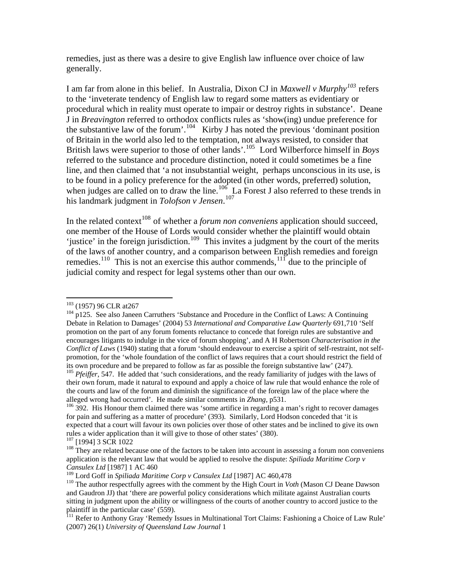remedies, just as there was a desire to give English law influence over choice of law generally.

I am far from alone in this belief. In Australia, Dixon CJ in *Maxwell v Murphy[103](#page-18-0)* refers to the 'inveterate tendency of English law to regard some matters as evidentiary or procedural which in reality must operate to impair or destroy rights in substance'. Deane J in *Breavington* referred to orthodox conflicts rules as 'show(ing) undue preference for the substantive law of the forum'.<sup>[104](#page-18-1)</sup> Kirby J has noted the previous 'dominant position of Britain in the world also led to the temptation, not always resisted, to consider that British laws were superior to those of other lands'.<sup>[105](#page-18-2)</sup> Lord Wilberforce himself in *Boys* referred to the substance and procedure distinction, noted it could sometimes be a fine line, and then claimed that 'a not insubstantial weight, perhaps unconscious in its use, is to be found in a policy preference for the adopted (in other words, preferred) solution, when judges are called on to draw the line.<sup>[106](#page-18-3)</sup> La Forest J also referred to these trends in his landmark judgment in *Tolofson v Jensen*. [107](#page-18-4)

In the related context<sup>[108](#page-18-5)</sup> of whether a *forum non conveniens* application should succeed, one member of the House of Lords would consider whether the plaintiff would obtain 'justice' in the foreign jurisdiction.<sup>[109](#page-18-6)</sup> This invites a judgment by the court of the merits of the laws of another country, and a comparison between English remedies and foreign remedies.<sup>[110](#page-18-7)</sup> This is not an exercise this author commends,<sup>[111](#page-18-8)</sup> due to the principle of judicial comity and respect for legal systems other than our own.

<span id="page-18-0"></span><sup>103 (1957) 96</sup> CLR at 267

<span id="page-18-1"></span> $104$  p125. See also Janeen Carruthers 'Substance and Procedure in the Conflict of Laws: A Continuing Debate in Relation to Damages' (2004) 53 *International and Comparative Law Quarterly* 691,710 'Self promotion on the part of any forum foments reluctance to concede that foreign rules are substantive and encourages litigants to indulge in the vice of forum shopping', and A H Robertson *Characterisation in the Conflict of Laws* (1940) stating that a forum 'should endeavour to exercise a spirit of self-restraint, not selfpromotion, for the 'whole foundation of the conflict of laws requires that a court should restrict the field of its own procedure and be prepared to follow as far as possible the foreign substantive law' (247).

<span id="page-18-2"></span><sup>&</sup>lt;sup>105</sup> *Pfeiffer*, 547. He added that 'such considerations, and the ready familiarity of judges with the laws of their own forum, made it natural to expound and apply a choice of law rule that would enhance the role of the courts and law of the forum and diminish the significance of the foreign law of the place where the alleged wrong had occurred'. He made similar comments in *Zhang*, p531.<br><sup>106</sup> 392. His Honour them claimed there was 'some artifice in regarding a man's right to recover damages

<span id="page-18-3"></span>for pain and suffering as a matter of procedure' (393). Similarly, Lord Hodson conceded that 'it is expected that a court will favour its own policies over those of other states and be inclined to give its own rules a wider application than it will give to those of other states' (380).

<span id="page-18-5"></span><span id="page-18-4"></span> $108$  They are related because one of the factors to be taken into account in assessing a forum non conveniens application is the relevant law that would be applied to resolve the dispute: *Spiliada Maritime Corp v Cansulex Ltd* [1987] 1 AC 460<br><sup>109</sup> Lord Goff in *Spiliada Maritime Corp v Cansulex Ltd* [1987] AC 460,478

<span id="page-18-7"></span><span id="page-18-6"></span><sup>&</sup>lt;sup>110</sup> The author respectfully agrees with the comment by the High Court in *Voth* (Mason CJ Deane Dawson and Gaudron JJ) that 'there are powerful policy considerations which militate against Australian courts sitting in judgment upon the ability or willingness of the courts of another country to accord justice to the plaintiff in the particular case' (559).

<span id="page-18-8"></span><sup>&</sup>lt;sup>111</sup> Refer to Anthony Gray 'Remedy Issues in Multinational Tort Claims: Fashioning a Choice of Law Rule' (2007) 26(1) *University of Queensland Law Journal* 1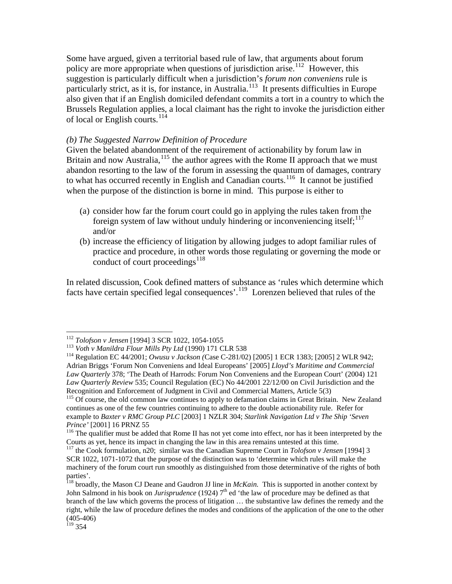Some have argued, given a territorial based rule of law, that arguments about forum policy are more appropriate when questions of jurisdiction arise.<sup>[112](#page-19-0)</sup> However, this suggestion is particularly difficult when a jurisdiction's *forum non conveniens* rule is particularly strict, as it is, for instance, in Australia.<sup>[113](#page-19-1)</sup> It presents difficulties in Europe also given that if an English domiciled defendant commits a tort in a country to which the Brussels Regulation applies, a local claimant has the right to invoke the jurisdiction either of local or English courts.<sup>[114](#page-19-2)</sup>

### *(b) The Suggested Narrow Definition of Procedure*

Given the belated abandonment of the requirement of actionability by forum law in Britain and now Australia,  $115$  the author agrees with the Rome II approach that we must abandon resorting to the law of the forum in assessing the quantum of damages, contrary to what has occurred recently in English and Canadian courts.<sup>[116](#page-19-4)</sup> It cannot be justified when the purpose of the distinction is borne in mind. This purpose is either to

- (a) consider how far the forum court could go in applying the rules taken from the foreign system of law without unduly hindering or inconveniencing itself;  $117$ and/or
- (b) increase the efficiency of litigation by allowing judges to adopt familiar rules of practice and procedure, in other words those regulating or governing the mode or conduct of court proceedings<sup>[118](#page-19-6)</sup>

In related discussion, Cook defined matters of substance as 'rules which determine which facts have certain specified legal consequences'.[119](#page-19-7) Lorenzen believed that rules of the

<span id="page-19-2"></span>

<span id="page-19-1"></span><span id="page-19-0"></span><sup>&</sup>lt;sup>112</sup> Tolofson v Jensen [1994] 3 SCR 1022, 1054-1055<br><sup>113</sup> Voth v Manildra Flour Mills Pty Ltd (1990) 171 CLR 538<br><sup>114</sup> Regulation EC 44/2001; Owusu v Jackson (Case C-281/02) [2005] 1 ECR 1383; [2005] 2 WLR 942; Adrian Briggs 'Forum Non Conveniens and Ideal Europeans' [2005] *Lloyd's Maritime and Commercial Law Quarterly* 378; 'The Death of Harrods: Forum Non Conveniens and the European Court' (2004) 121 *Law Quarterly Review* 535; Council Regulation (EC) No 44/2001 22/12/00 on Civil Jurisdiction and the Recognition and Enforcement of Judgment in Civil and Commercial Matters, Article 5(3)<br><sup>115</sup> Of course, the old common law continues to apply to defamation claims in Great Britain. New Zealand

<span id="page-19-3"></span>continues as one of the few countries continuing to adhere to the double actionability rule. Refer for example to *Baxter v RMC Group PLC* [2003] 1 NZLR 304; *Starlink Navigation Ltd v The Ship 'Seven Prince'* [2001] 16 PRNZ 55<br><sup>116</sup> The qualifier must be added that Rome II has not yet come into effect, nor has it been interpreted by the

<span id="page-19-4"></span>Courts as yet, hence its impact in changing the law in this area remains untested at this time.

<span id="page-19-5"></span><sup>117</sup> the Cook formulation, n20; similar was the Canadian Supreme Court in *Tolofson v Jensen* [1994] 3 SCR 1022, 1071-1072 that the purpose of the distinction was to 'determine which rules will make the machinery of the forum court run smoothly as distinguished from those determinative of the rights of both parties'.

<span id="page-19-6"></span><sup>&</sup>lt;sup>118</sup> broadly, the Mason CJ Deane and Gaudron JJ line in *McKain*. This is supported in another context by John Salmond in his book on *Jurisprudence* (1924) 7<sup>th</sup> ed 'the law of procedure may be defined as that branch of the law which governs the process of litigation … the substantive law defines the remedy and the right, while the law of procedure defines the modes and conditions of the application of the one to the other (405-406)

<span id="page-19-7"></span> $119$  354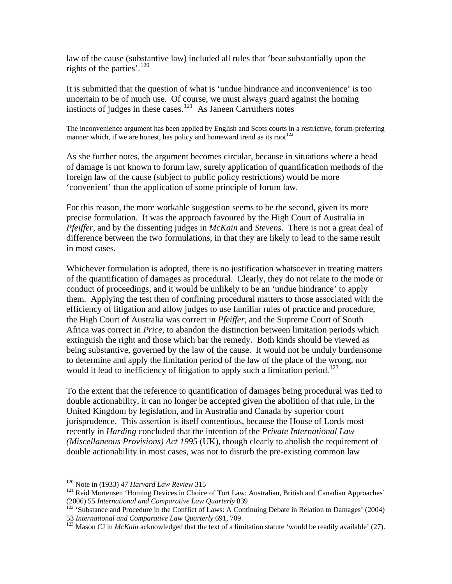law of the cause (substantive law) included all rules that 'bear substantially upon the rights of the parties'.<sup>[120](#page-20-0)</sup>

It is submitted that the question of what is 'undue hindrance and inconvenience' is too uncertain to be of much use. Of course, we must always guard against the homing instincts of judges in these cases.<sup>[121](#page-20-1)</sup> As Janeen Carruthers notes

The inconvenience argument has been applied by English and Scots courts in a restrictive, forum-preferring manner which, if we are honest, has policy and homeward trend as its root<sup>[122](#page-20-2)</sup>

As she further notes, the argument becomes circular, because in situations where a head of damage is not known to forum law, surely application of quantification methods of the foreign law of the cause (subject to public policy restrictions) would be more 'convenient' than the application of some principle of forum law.

For this reason, the more workable suggestion seems to be the second, given its more precise formulation. It was the approach favoured by the High Court of Australia in *Pfeiffer*, and by the dissenting judges in *McKain* and *Stevens*. There is not a great deal of difference between the two formulations, in that they are likely to lead to the same result in most cases.

Whichever formulation is adopted, there is no justification whatsoever in treating matters of the quantification of damages as procedural. Clearly, they do not relate to the mode or conduct of proceedings, and it would be unlikely to be an 'undue hindrance' to apply them. Applying the test then of confining procedural matters to those associated with the efficiency of litigation and allow judges to use familiar rules of practice and procedure, the High Court of Australia was correct in *Pfeiffer*, and the Supreme Court of South Africa was correct in *Price*, to abandon the distinction between limitation periods which extinguish the right and those which bar the remedy. Both kinds should be viewed as being substantive, governed by the law of the cause. It would not be unduly burdensome to determine and apply the limitation period of the law of the place of the wrong, nor would it lead to inefficiency of litigation to apply such a limitation period.<sup>[123](#page-20-3)</sup>

To the extent that the reference to quantification of damages being procedural was tied to double actionability, it can no longer be accepted given the abolition of that rule, in the United Kingdom by legislation, and in Australia and Canada by superior court jurisprudence. This assertion is itself contentious, because the House of Lords most recently in *Harding* concluded that the intention of the *Private International Law (Miscellaneous Provisions) Act 1995* (UK), though clearly to abolish the requirement of double actionability in most cases, was not to disturb the pre-existing common law

<span id="page-20-0"></span> $120$  Note in (1933) 47 Harvard Law Review 315

<span id="page-20-1"></span><sup>&</sup>lt;sup>121</sup> Reid Mortensen 'Homing Devices in Choice of Tort Law: Australian, British and Canadian Approaches' (2006) 55 *International and Comparative Law Quarterly* 839<br><sup>122</sup> 'Substance and Procedure in the Conflict of Laws: A Continuing Debate in Relation to Damages' (2004)

<span id="page-20-2"></span><sup>53</sup> International and Comparative Law Quarterly 691, 709<br><sup>123</sup> Mason CJ in *McKain* acknowledged that the text of a limitation statute 'would be readily available' (27).

<span id="page-20-3"></span>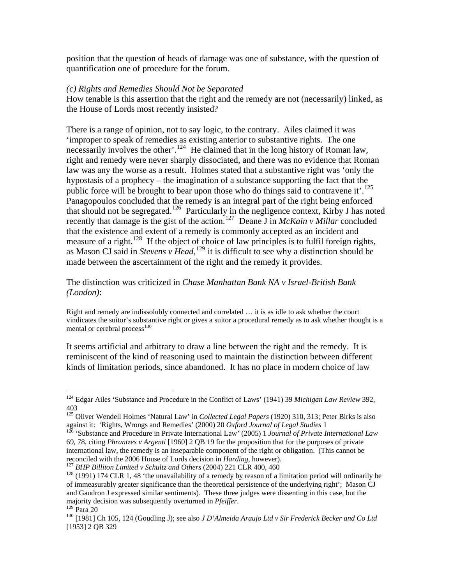position that the question of heads of damage was one of substance, with the question of quantification one of procedure for the forum.

#### *(c) Rights and Remedies Should Not be Separated*

How tenable is this assertion that the right and the remedy are not (necessarily) linked, as the House of Lords most recently insisted?

There is a range of opinion, not to say logic, to the contrary. Ailes claimed it was 'improper to speak of remedies as existing anterior to substantive rights. The one necessarily involves the other'.<sup>[124](#page-21-0)</sup> He claimed that in the long history of Roman law, right and remedy were never sharply dissociated, and there was no evidence that Roman law was any the worse as a result. Holmes stated that a substantive right was 'only the hypostasis of a prophecy – the imagination of a substance supporting the fact that the public force will be brought to bear upon those who do things said to contravene it'.<sup>[125](#page-21-1)</sup> Panagopoulos concluded that the remedy is an integral part of the right being enforced that should not be segregated.<sup>[126](#page-21-2)</sup> Particularly in the negligence context, Kirby J has noted recently that damage is the gist of the action.[127](#page-21-3) Deane J in *McKain v Millar* concluded that the existence and extent of a remedy is commonly accepted as an incident and measure of a right.<sup>[128](#page-21-4)</sup> If the object of choice of law principles is to fulfil foreign rights, as Mason CJ said in *Stevens v Head*, [129](#page-21-5) it is difficult to see why a distinction should be made between the ascertainment of the right and the remedy it provides.

The distinction was criticized in *Chase Manhattan Bank NA v Israel-British Bank (London)*:

Right and remedy are indissolubly connected and correlated … it is as idle to ask whether the court vindicates the suitor's substantive right or gives a suitor a procedural remedy as to ask whether thought is a mental or cerebral process<sup>[130](#page-21-6)</sup>

It seems artificial and arbitrary to draw a line between the right and the remedy. It is reminiscent of the kind of reasoning used to maintain the distinction between different kinds of limitation periods, since abandoned. It has no place in modern choice of law

<span id="page-21-0"></span><sup>124</sup> Edgar Ailes 'Substance and Procedure in the Conflict of Laws' (1941) 39 *Michigan Law Review* 392, 403

<span id="page-21-1"></span><sup>125</sup> Oliver Wendell Holmes 'Natural Law' in *Collected Legal Papers* (1920) 310, 313; Peter Birks is also against it: 'Rights, Wrongs and Remedies' (2000) 20 *Oxford Journal of Legal Studies* 1 126 'Substance and Procedure in Private International Law' (2005) 1 *Journal of Private International Law*

<span id="page-21-2"></span><sup>69, 78,</sup> citing *Phrantzes v Argenti* [1960] 2 QB 19 for the proposition that for the purposes of private international law, the remedy is an inseparable component of the right or obligation. (This cannot be reconciled with the 2006 House of Lords decision in *Harding*, however).<br><sup>127</sup> BHP Billiton Limited v Schultz and Others (2004) 221 CLR 400, 460<br><sup>128</sup> (1991) 174 CLR 1, 48 'the unavailability of a remedy by reason of a lim

<span id="page-21-3"></span>

<span id="page-21-4"></span>of immeasurably greater significance than the theoretical persistence of the underlying right'; Mason CJ and Gaudron J expressed similar sentiments). These three judges were dissenting in this case, but the majority decision was subsequently overturned in *Pfeiffer*.<br><sup>129</sup> Para 20<br><sup>130</sup> [1981] Ch 105, 124 (Goudling J); see also *J D'Almeida Araujo Ltd v Sir Frederick Becker and Co Ltd* 

<span id="page-21-6"></span><span id="page-21-5"></span><sup>[1953] 2</sup> QB 329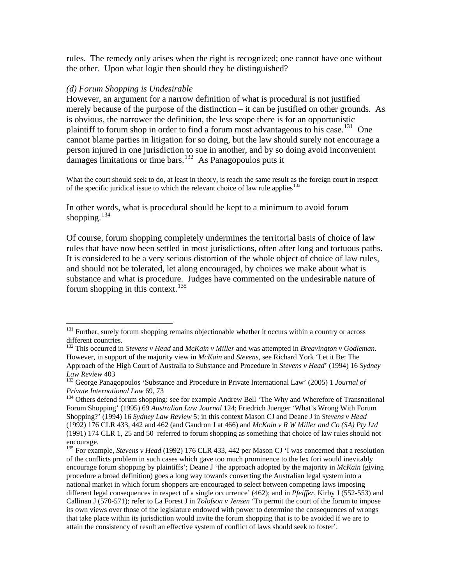rules. The remedy only arises when the right is recognized; one cannot have one without the other. Upon what logic then should they be distinguished?

#### *(d) Forum Shopping is Undesirable*

 $\overline{a}$ 

However, an argument for a narrow definition of what is procedural is not justified merely because of the purpose of the distinction – it can be justified on other grounds. As is obvious, the narrower the definition, the less scope there is for an opportunistic plaintiff to forum shop in order to find a forum most advantageous to his case.<sup>[131](#page-22-0)</sup> One cannot blame parties in litigation for so doing, but the law should surely not encourage a person injured in one jurisdiction to sue in another, and by so doing avoid inconvenient  $d$ amages limitations or time bars.<sup>[132](#page-22-1)</sup> As Panagopoulos puts it

What the court should seek to do, at least in theory, is reach the same result as the foreign court in respect of the specific juridical issue to which the relevant choice of law rule applies<sup>[133](#page-22-2)</sup>

In other words, what is procedural should be kept to a minimum to avoid forum shopping. $134$ 

Of course, forum shopping completely undermines the territorial basis of choice of law rules that have now been settled in most jurisdictions, often after long and tortuous paths. It is considered to be a very serious distortion of the whole object of choice of law rules, and should not be tolerated, let along encouraged, by choices we make about what is substance and what is procedure. Judges have commented on the undesirable nature of forum shopping in this context.<sup>[135](#page-22-4)</sup>

<span id="page-22-0"></span><sup>&</sup>lt;sup>131</sup> Further, surely forum shopping remains objectionable whether it occurs within a country or across different countries.

<span id="page-22-1"></span><sup>132</sup> This occurred in *Stevens v Head* and *McKain v Miller* and was attempted in *Breavington v Godleman*. However, in support of the majority view in *McKain* and *Stevens*, see Richard York 'Let it Be: The Approach of the High Court of Australia to Substance and Procedure in *Stevens v Head*' (1994) 16 *Sydney Law Review* 403<br><sup>133</sup> George Panagopoulos 'Substance and Procedure in Private International Law' (2005) 1 *Journal of* 

<span id="page-22-3"></span><span id="page-22-2"></span>*Private International Law* 69, 73<br><sup>134</sup> Others defend forum shopping: see for example Andrew Bell 'The Why and Wherefore of Transnational Forum Shopping' (1995) 69 *Australian Law Journal* 124; Friedrich Juenger 'What's Wrong With Forum Shopping?' (1994) 16 *Sydney Law Review* 5; in this context Mason CJ and Deane J in *Stevens v Head* (1992) 176 CLR 433, 442 and 462 (and Gaudron J at 466) and *McKain v R W Miller and Co (SA) Pty Ltd* (1991) 174 CLR 1, 25 and 50 referred to forum shopping as something that choice of law rules should not encourage.

<span id="page-22-4"></span><sup>135</sup> For example, *Stevens v Head* (1992) 176 CLR 433, 442 per Mason CJ 'I was concerned that a resolution of the conflicts problem in such cases which gave too much prominence to the lex fori would inevitably encourage forum shopping by plaintiffs'; Deane J 'the approach adopted by the majority in *McKain* (giving procedure a broad definition) goes a long way towards converting the Australian legal system into a national market in which forum shoppers are encouraged to select between competing laws imposing different legal consequences in respect of a single occurrence' (462); and in *Pfeiffer*, Kirby J (552-553) and Callinan J (570-571); refer to La Forest J in *Tolofson v Jensen* 'To permit the court of the forum to impose its own views over those of the legislature endowed with power to determine the consequences of wrongs that take place within its jurisdiction would invite the forum shopping that is to be avoided if we are to attain the consistency of result an effective system of conflict of laws should seek to foster'.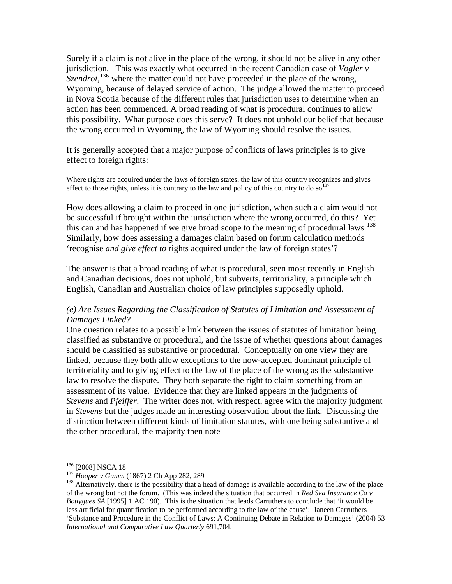Surely if a claim is not alive in the place of the wrong, it should not be alive in any other jurisdiction. This was exactly what occurred in the recent Canadian case of *Vogler v*  Szendroi,<sup>[136](#page-23-0)</sup> where the matter could not have proceeded in the place of the wrong, Wyoming, because of delayed service of action. The judge allowed the matter to proceed in Nova Scotia because of the different rules that jurisdiction uses to determine when an action has been commenced. A broad reading of what is procedural continues to allow this possibility. What purpose does this serve? It does not uphold our belief that because the wrong occurred in Wyoming, the law of Wyoming should resolve the issues.

It is generally accepted that a major purpose of conflicts of laws principles is to give effect to foreign rights:

Where rights are acquired under the laws of foreign states, the law of this country recognizes and gives effect to those rights, unless it is contrary to the law and policy of this country to do so  $\overline{1}$ 

How does allowing a claim to proceed in one jurisdiction, when such a claim would not be successful if brought within the jurisdiction where the wrong occurred, do this? Yet this can and has happened if we give broad scope to the meaning of procedural laws.<sup>[138](#page-23-2)</sup> Similarly, how does assessing a damages claim based on forum calculation methods 'recognise *and give effect to* rights acquired under the law of foreign states'?

The answer is that a broad reading of what is procedural, seen most recently in English and Canadian decisions, does not uphold, but subverts, territoriality, a principle which English, Canadian and Australian choice of law principles supposedly uphold.

# *(e) Are Issues Regarding the Classification of Statutes of Limitation and Assessment of Damages Linked?*

One question relates to a possible link between the issues of statutes of limitation being classified as substantive or procedural, and the issue of whether questions about damages should be classified as substantive or procedural. Conceptually on one view they are linked, because they both allow exceptions to the now-accepted dominant principle of territoriality and to giving effect to the law of the place of the wrong as the substantive law to resolve the dispute. They both separate the right to claim something from an assessment of its value. Evidence that they are linked appears in the judgments of *Stevens* and *Pfeiffer*. The writer does not, with respect, agree with the majority judgment in *Stevens* but the judges made an interesting observation about the link. Discussing the distinction between different kinds of limitation statutes, with one being substantive and the other procedural, the majority then note

<span id="page-23-0"></span><sup>&</sup>lt;sup>136</sup> [2008] NSCA 18

<span id="page-23-2"></span><span id="page-23-1"></span><sup>&</sup>lt;sup>137</sup> *Hooper v Gumm* (1867) 2 Ch App 282, 289<br><sup>138</sup> Alternatively, there is the possibility that a head of damage is available according to the law of the place of the wrong but not the forum. (This was indeed the situation that occurred in *Red Sea Insurance Co v Bouygues SA* [1995] 1 AC 190). This is the situation that leads Carruthers to conclude that 'it would be less artificial for quantification to be performed according to the law of the cause': Janeen Carruthers 'Substance and Procedure in the Conflict of Laws: A Continuing Debate in Relation to Damages' (2004) 53 *International and Comparative Law Quarterly* 691,704.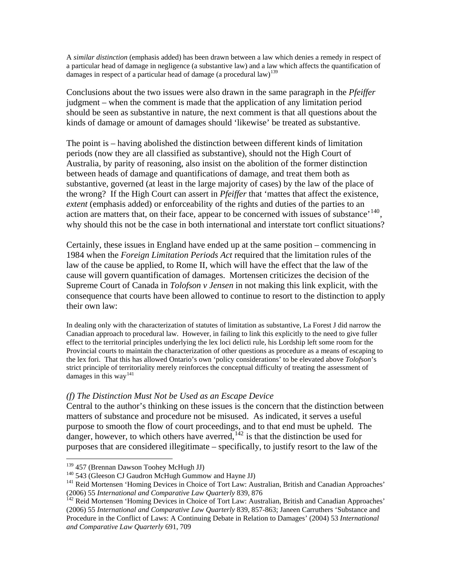A *similar distinction* (emphasis added) has been drawn between a law which denies a remedy in respect of a particular head of damage in negligence (a substantive law) and a law which affects the quantification of damages in respect of a particular head of damage (a procedural law)<sup>[139](#page-24-0)</sup>

Conclusions about the two issues were also drawn in the same paragraph in the *Pfeiffer* judgment – when the comment is made that the application of any limitation period should be seen as substantive in nature, the next comment is that all questions about the kinds of damage or amount of damages should 'likewise' be treated as substantive.

The point is – having abolished the distinction between different kinds of limitation periods (now they are all classified as substantive), should not the High Court of Australia, by parity of reasoning, also insist on the abolition of the former distinction between heads of damage and quantifications of damage, and treat them both as substantive, governed (at least in the large majority of cases) by the law of the place of the wrong? If the High Court can assert in *Pfeiffer* that 'mattes that affect the existence, *extent* (emphasis added) or enforceability of the rights and duties of the parties to an action are matters that, on their face, appear to be concerned with issues of substance'<sup>[140](#page-24-1)</sup>, why should this not be the case in both international and interstate tort conflict situations?

Certainly, these issues in England have ended up at the same position – commencing in 1984 when the *Foreign Limitation Periods Act* required that the limitation rules of the law of the cause be applied, to Rome II, which will have the effect that the law of the cause will govern quantification of damages. Mortensen criticizes the decision of the Supreme Court of Canada in *Tolofson v Jensen* in not making this link explicit, with the consequence that courts have been allowed to continue to resort to the distinction to apply their own law:

In dealing only with the characterization of statutes of limitation as substantive, La Forest J did narrow the Canadian approach to procedural law. However, in failing to link this explicitly to the need to give fuller effect to the territorial principles underlying the lex loci delicti rule, his Lordship left some room for the Provincial courts to maintain the characterization of other questions as procedure as a means of escaping to the lex fori. That this has allowed Ontario's own 'policy considerations' to be elevated above *Tolofson*'s strict principle of territoriality merely reinforces the conceptual difficulty of treating the assessment of damages in this way<sup>[141](#page-24-2)</sup>

### *(f) The Distinction Must Not be Used as an Escape Device*

Central to the author's thinking on these issues is the concern that the distinction between matters of substance and procedure not be misused. As indicated, it serves a useful purpose to smooth the flow of court proceedings, and to that end must be upheld. The danger, however, to which others have averred,  $142$  is that the distinction be used for purposes that are considered illegitimate – specifically, to justify resort to the law of the

<span id="page-24-0"></span><sup>&</sup>lt;sup>139</sup> 457 (Brennan Dawson Toohey McHugh JJ)

<span id="page-24-2"></span><span id="page-24-1"></span><sup>&</sup>lt;sup>140</sup> 543 (Gleeson CJ Gaudron McHugh Gummow and Hayne JJ)<br><sup>141</sup> Reid Mortensen 'Homing Devices in Choice of Tort Law: Australian, British and Canadian Approaches' (2006) 55 *International and Comparative Law Quarterly* 839, 876<br><sup>142</sup> Reid Mortensen 'Homing Devices in Choice of Tort Law: Australian, British and Canadian Approaches'

<span id="page-24-3"></span><sup>(2006) 55</sup> *International and Comparative Law Quarterly* 839, 857-863; Janeen Carruthers 'Substance and Procedure in the Conflict of Laws: A Continuing Debate in Relation to Damages' (2004) 53 *International and Comparative Law Quarterly* 691, 709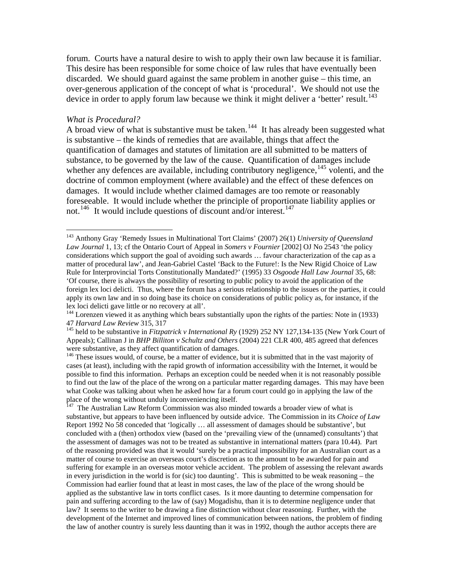forum. Courts have a natural desire to wish to apply their own law because it is familiar. This desire has been responsible for some choice of law rules that have eventually been discarded. We should guard against the same problem in another guise – this time, an over-generous application of the concept of what is 'procedural'. We should not use the device in order to apply forum law because we think it might deliver a 'better' result.<sup>[143](#page-25-0)</sup>

#### *What is Procedural?*

 $\overline{a}$ 

A broad view of what is substantive must be taken.<sup>[144](#page-25-1)</sup> It has already been suggested what is substantive – the kinds of remedies that are available, things that affect the quantification of damages and statutes of limitation are all submitted to be matters of substance, to be governed by the law of the cause. Quantification of damages include whether any defences are available, including contributory negligence,  $145$  volenti, and the doctrine of common employment (where available) and the effect of these defences on damages. It would include whether claimed damages are too remote or reasonably foreseeable. It would include whether the principle of proportionate liability applies or not.<sup>[146](#page-25-3)</sup> It would include questions of discount and/or interest.<sup>[147](#page-25-4)</sup>

<span id="page-25-3"></span><sup>146</sup> These issues would, of course, be a matter of evidence, but it is submitted that in the vast majority of cases (at least), including with the rapid growth of information accessibility with the Internet, it would be possible to find this information. Perhaps an exception could be needed when it is not reasonably possible to find out the law of the place of the wrong on a particular matter regarding damages. This may have been what Cooke was talking about when he asked how far a forum court could go in applying the law of the place of the wrong without unduly inconveniencing itself.<br><sup>147</sup> The Australian Law Reform Commission was also minded towards a broader view of what is

<span id="page-25-4"></span>substantive, but appears to have been influenced by outside advice. The Commission in its *Choice of Law* Report 1992 No 58 conceded that 'logically … all assessment of damages should be substantive', but concluded with a (then) orthodox view (based on the 'prevailing view of the (unnamed) consultants') that the assessment of damages was not to be treated as substantive in international matters (para 10.44). Part of the reasoning provided was that it would 'surely be a practical impossibility for an Australian court as a matter of course to exercise an overseas court's discretion as to the amount to be awarded for pain and suffering for example in an overseas motor vehicle accident. The problem of assessing the relevant awards in every jurisdiction in the world is for (sic) too daunting'. This is submitted to be weak reasoning – the Commission had earlier found that at least in most cases, the law of the place of the wrong should be applied as the substantive law in torts conflict cases. Is it more daunting to determine compensation for pain and suffering according to the law of (say) Mogadishu, than it is to determine negligence under that law? It seems to the writer to be drawing a fine distinction without clear reasoning. Further, with the development of the Internet and improved lines of communication between nations, the problem of finding the law of another country is surely less daunting than it was in 1992, though the author accepts there are

<span id="page-25-0"></span><sup>143</sup> Anthony Gray 'Remedy Issues in Multinational Tort Claims' (2007) 26(1) *University of Queensland Law Journal* 1, 13; cf the Ontario Court of Appeal in *Somers v Fournier* [2002] OJ No 2543 'the policy considerations which support the goal of avoiding such awards … favour characterization of the cap as a matter of procedural law', and Jean-Gabriel Castel 'Back to the Future!: Is the New Rigid Choice of Law Rule for Interprovincial Torts Constitutionally Mandated?' (1995) 33 *Osgoode Hall Law Journal* 35, 68: 'Of course, there is always the possibility of resorting to public policy to avoid the application of the foreign lex loci delicti. Thus, where the forum has a serious relationship to the issues or the parties, it could apply its own law and in so doing base its choice on considerations of public policy as, for instance, if the lex loci delicti gave little or no recovery at all'.

<span id="page-25-1"></span><sup>&</sup>lt;sup>144</sup> Lorenzen viewed it as anything which bears substantially upon the rights of the parties: Note in (1933) <sup>47</sup>*Harvard Law Review* 315, 317 145 held to be substantive in *Fitzpatrick v International Ry* (1929) 252 NY 127,134-135 (New York Court of

<span id="page-25-2"></span>Appeals); Callinan J in *BHP Billiton v Schultz and Others* (2004) 221 CLR 400, 485 agreed that defences were substantive, as they affect quantification of damages.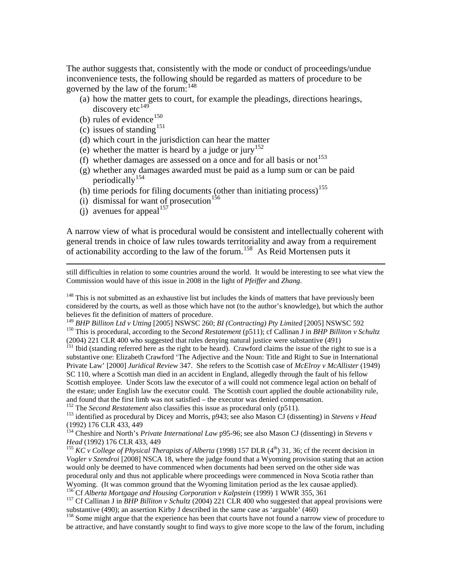The author suggests that, consistently with the mode or conduct of proceedings/undue inconvenience tests, the following should be regarded as matters of procedure to be governed by the law of the forum:  $148$ 

- (a) how the matter gets to court, for example the pleadings, directions hearings, discovery etc $^{149}$  $^{149}$  $^{149}$
- (b) rules of evidence<sup>[150](#page-26-2)</sup>
- (c) issues of standing<sup>[151](#page-26-3)</sup>
- (d) which court in the jurisdiction can hear the matter
- (e) whether the matter is heard by a judge or jury<sup>[152](#page-26-4)</sup>
- (f) whether damages are assessed on a once and for all basis or not<sup>[153](#page-26-5)</sup>
- (g) whether any damages awarded must be paid as a lump sum or can be paid periodically<sup>[154](#page-26-6)</sup>
- (h) time periods for filing documents (other than initiating process)<sup>[155](#page-26-7)</sup>
- (i) dismissal for want of prosecution<sup>[156](#page-26-8)</sup>
- $(i)$  avenues for appeal<sup>[157](#page-26-9)</sup>

A narrow view of what is procedural would be consistent and intellectually coherent with general trends in choice of law rules towards territoriality and away from a requirement of actionability according to the law of the forum.<sup>[158](#page-26-10)</sup> As Reid Mortensen puts it

 still difficulties in relation to some countries around the world. It would be interesting to see what view the Commission would have of this issue in 2008 in the light of *Pfeiffer* and *Zhang*.

<span id="page-26-0"></span><sup>148</sup> This is not submitted as an exhaustive list but includes the kinds of matters that have previously been considered by the courts, as well as those which have not (to the author's knowledge), but which the author believes fit the definition of matters of procedure.<br><sup>149</sup> BHP Billiton Ltd v Utting [2005] NSWSC 260; BI (Contracting) Pty Limited [2005] NSWSC 592

<span id="page-26-2"></span><span id="page-26-1"></span><sup>150</sup> This is procedural, according to the Second Restatement (p511); cf Callinan J in BHP Billiton v Schultz (2004) 221 CLR 400 who suggested that rules denying natural justice were substantive (491)

<span id="page-26-3"></span><sup>151</sup> Ibid (standing referred here as the right to be heard). Crawford claims the issue of the right to sue is a substantive one: Elizabeth Crawford 'The Adjective and the Noun: Title and Right to Sue in International Private Law' [2000] *Juridical Review* 347. She refers to the Scottish case of *McElroy v McAllister* (1949) SC 110, where a Scottish man died in an accident in England, allegedly through the fault of his fellow Scottish employee. Under Scots law the executor of a will could not commence legal action on behalf of the estate; under English law the executor could. The Scottish court applied the double actionability rule, and found that the first limb was not satisfied – the executor was denied compensation.

<span id="page-26-6"></span>154 Cheshire and North's *Private International Law* p95-96; see also Mason CJ (dissenting) in *Stevens v Head* (1992) 176 CLR 433, 449<br><sup>155</sup> *KC v College of Physical Therapists of Alberta* (1998) 157 DLR (4<sup>th</sup>) 31, 36; cf the recent decision in

<span id="page-26-7"></span>*Vogler v Szendroi* [2008] NSCA 18, where the judge found that a Wyoming provision stating that an action would only be deemed to have commenced when documents had been served on the other side was procedural only and thus not applicable where proceedings were commenced in Nova Scotia rather than Wyoming. (It was common ground that the Wyoming limitation period as the lex causae applied).<br><sup>156</sup> Cf Alberta Mortgage and Housing Corporation v Kalpstein (1999) 1 WWR 355, 361

<span id="page-26-10"></span><sup>158</sup> Some might argue that the experience has been that courts have not found a narrow view of procedure to be attractive, and have constantly sought to find ways to give more scope to the law of the forum, including

<span id="page-26-5"></span><span id="page-26-4"></span><sup>&</sup>lt;sup>152</sup> The *Second Restatement* also classifies this issue as procedural only (p511).<br><sup>153</sup> identified as procedural by Dicey and Morris, p943; see also Mason CJ (dissenting) in *Stevens v Head* (1992) 176 CLR 433, 449

<span id="page-26-9"></span><span id="page-26-8"></span><sup>&</sup>lt;sup>157</sup> Cf Callinan J in *BHP Billiton v Schultz* (2004) 221 CLR 400 who suggested that appeal provisions were substantive (490); an assertion Kirby J described in the same case as 'arguable' (460)